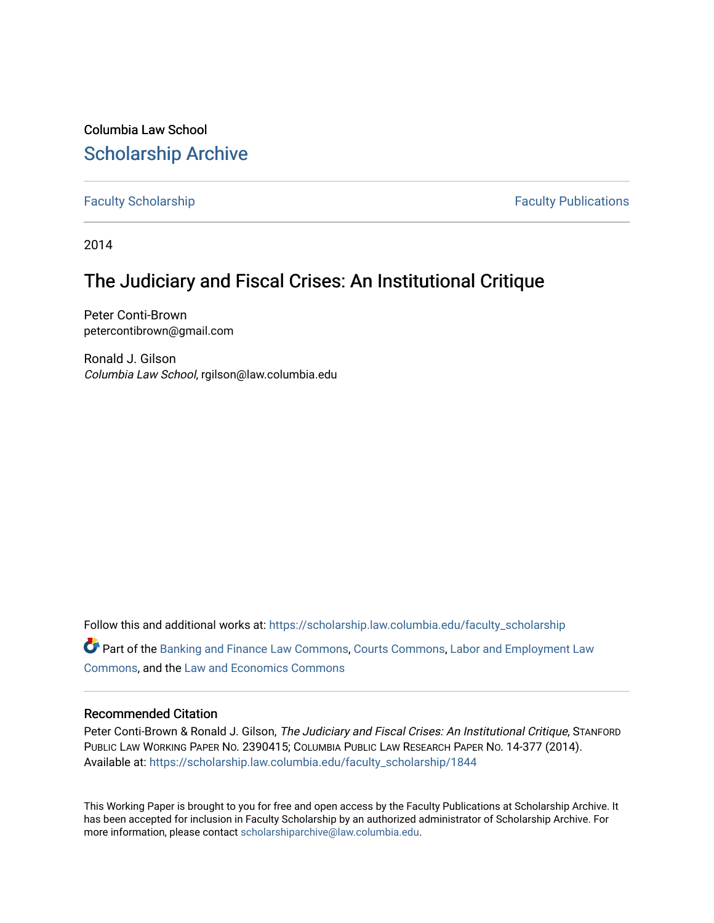Columbia Law School [Scholarship Archive](https://scholarship.law.columbia.edu/) 

[Faculty Scholarship](https://scholarship.law.columbia.edu/faculty_scholarship) **Faculty Scholarship Faculty Publications** 

2014

# The Judiciary and Fiscal Crises: An Institutional Critique

Peter Conti-Brown petercontibrown@gmail.com

Ronald J. Gilson Columbia Law School, rgilson@law.columbia.edu

Follow this and additional works at: [https://scholarship.law.columbia.edu/faculty\\_scholarship](https://scholarship.law.columbia.edu/faculty_scholarship?utm_source=scholarship.law.columbia.edu%2Ffaculty_scholarship%2F1844&utm_medium=PDF&utm_campaign=PDFCoverPages) Part of the [Banking and Finance Law Commons,](http://network.bepress.com/hgg/discipline/833?utm_source=scholarship.law.columbia.edu%2Ffaculty_scholarship%2F1844&utm_medium=PDF&utm_campaign=PDFCoverPages) [Courts Commons,](http://network.bepress.com/hgg/discipline/839?utm_source=scholarship.law.columbia.edu%2Ffaculty_scholarship%2F1844&utm_medium=PDF&utm_campaign=PDFCoverPages) [Labor and Employment Law](http://network.bepress.com/hgg/discipline/909?utm_source=scholarship.law.columbia.edu%2Ffaculty_scholarship%2F1844&utm_medium=PDF&utm_campaign=PDFCoverPages)  [Commons](http://network.bepress.com/hgg/discipline/909?utm_source=scholarship.law.columbia.edu%2Ffaculty_scholarship%2F1844&utm_medium=PDF&utm_campaign=PDFCoverPages), and the [Law and Economics Commons](http://network.bepress.com/hgg/discipline/612?utm_source=scholarship.law.columbia.edu%2Ffaculty_scholarship%2F1844&utm_medium=PDF&utm_campaign=PDFCoverPages) 

# Recommended Citation

Peter Conti-Brown & Ronald J. Gilson, The Judiciary and Fiscal Crises: An Institutional Critique, STANFORD PUBLIC LAW WORKING PAPER NO. 2390415; COLUMBIA PUBLIC LAW RESEARCH PAPER NO. 14-377 (2014). Available at: [https://scholarship.law.columbia.edu/faculty\\_scholarship/1844](https://scholarship.law.columbia.edu/faculty_scholarship/1844?utm_source=scholarship.law.columbia.edu%2Ffaculty_scholarship%2F1844&utm_medium=PDF&utm_campaign=PDFCoverPages)

This Working Paper is brought to you for free and open access by the Faculty Publications at Scholarship Archive. It has been accepted for inclusion in Faculty Scholarship by an authorized administrator of Scholarship Archive. For more information, please contact [scholarshiparchive@law.columbia.edu.](mailto:scholarshiparchive@law.columbia.edu)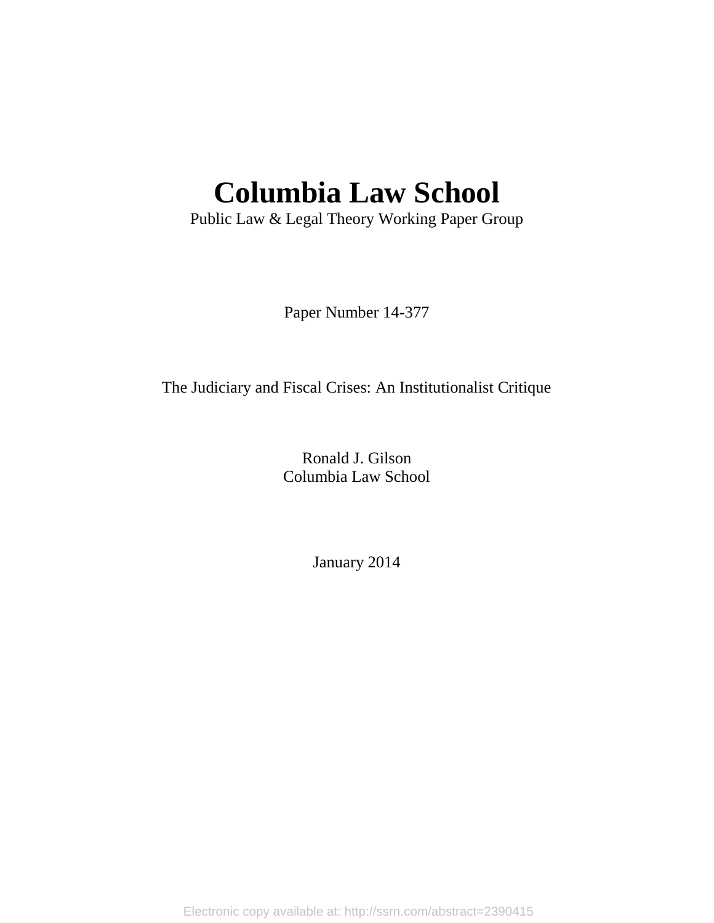# **Columbia Law School**

Public Law & Legal Theory Working Paper Group

Paper Number 14-377

The Judiciary and Fiscal Crises: An Institutionalist Critique

Ronald J. Gilson Columbia Law School

January 2014

Electronic copy available at: http://ssrn.com/abstract=2390415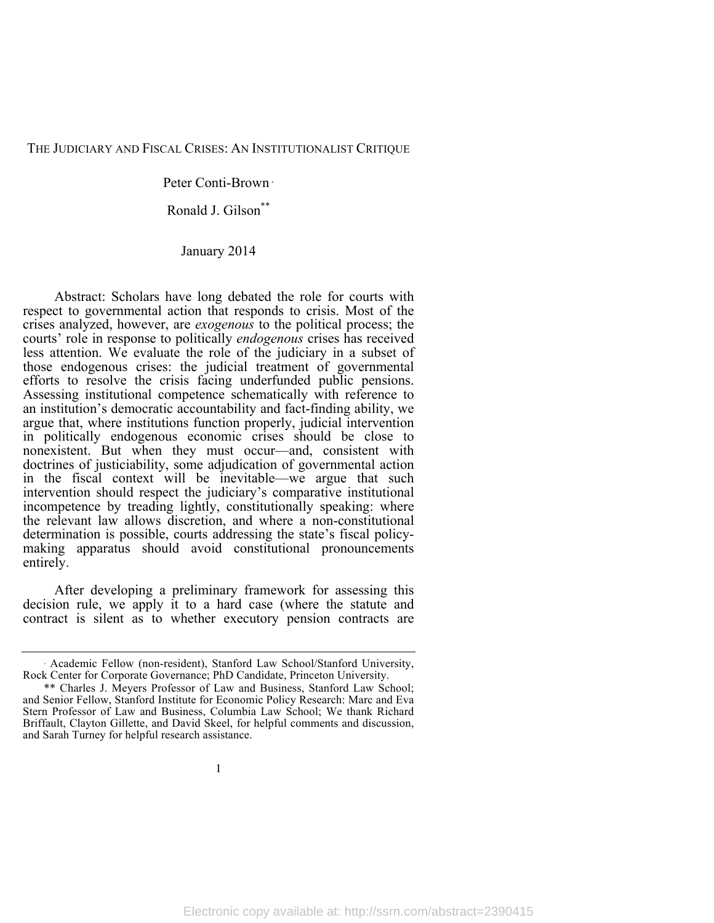#### THE JUDICIARY AND FISCAL CRISES: AN INSTITUTIONALIST CRITIQUE

Peter Conti-Brown <sup>∗</sup>

Ronald J. Gilson\*\*

January 2014

Abstract: Scholars have long debated the role for courts with respect to governmental action that responds to crisis. Most of the crises analyzed, however, are *exogenous* to the political process; the courts' role in response to politically *endogenous* crises has received less attention. We evaluate the role of the judiciary in a subset of those endogenous crises: the judicial treatment of governmental efforts to resolve the crisis facing underfunded public pensions. Assessing institutional competence schematically with reference to an institution's democratic accountability and fact-finding ability, we argue that, where institutions function properly, judicial intervention in politically endogenous economic crises should be close to nonexistent. But when they must occur—and, consistent with doctrines of justiciability, some adjudication of governmental action in the fiscal context will be inevitable—we argue that such intervention should respect the judiciary's comparative institutional incompetence by treading lightly, constitutionally speaking: where the relevant law allows discretion, and where a non-constitutional determination is possible, courts addressing the state's fiscal policy- making apparatus should avoid constitutional pronouncements entirely.

After developing a preliminary framework for assessing this decision rule, we apply it to a hard case (where the statute and contract is silent as to whether executory pension contracts are

Academic Fellow (non-resident), Stanford Law School/Stanford University, Rock Center for Corporate Governance; PhD Candidate, Princeton University.

<sup>\*\*</sup> Charles J. Meyers Professor of Law and Business, Stanford Law School; and Senior Fellow, Stanford Institute for Economic Policy Research: Marc and Eva Stern Professor of Law and Business, Columbia Law School; We thank Richard Briffault, Clayton Gillette, and David Skeel, for helpful comments and discussion, and Sarah Turney for helpful research assistance.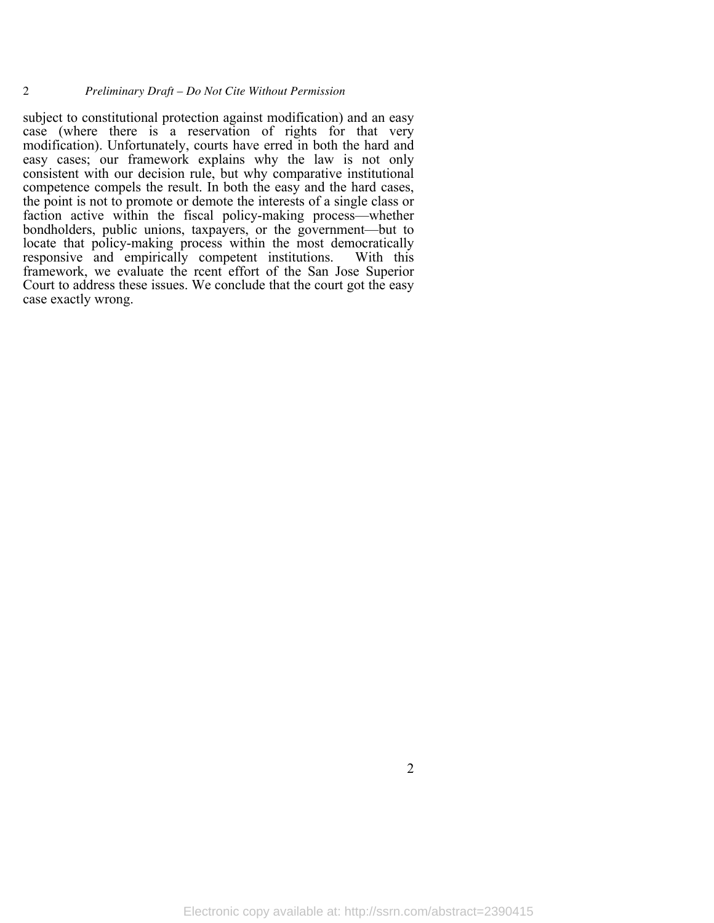subject to constitutional protection against modification) and an easy case (where there is a reservation of rights for that very modification). Unfortunately, courts have erred in both the hard and easy cases; our framework explains why the law is not only consistent with our decision rule, but why comparative institutional competence compels the result. In both the easy and the hard cases, the point is not to promote or demote the interests of a single class or faction active within the fiscal policy-making process—whether bondholders, public unions, taxpayers, or the government—but to locate that policy-making process within the most democratically responsive and empirically competent institutions. With this framework, we evaluate the rcent effort of the San Jose Superior Court to address these issues. We conclude that the court got the easy case exactly wrong.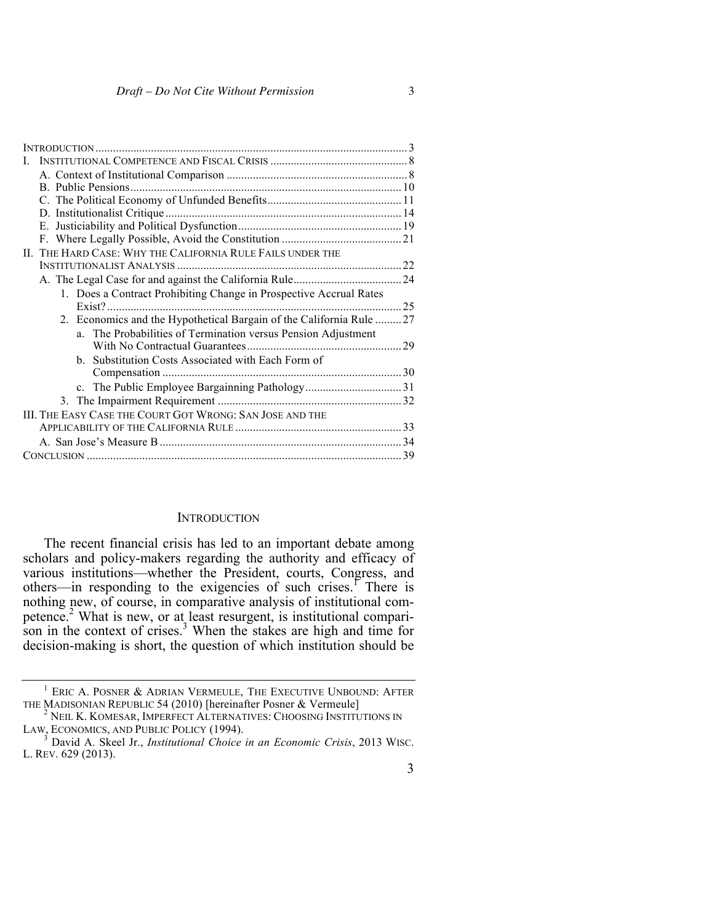|  | II. THE HARD CASE: WHY THE CALIFORNIA RULE FAILS UNDER THE          |    |
|--|---------------------------------------------------------------------|----|
|  |                                                                     |    |
|  |                                                                     |    |
|  | 1. Does a Contract Prohibiting Change in Prospective Accrual Rates  |    |
|  | $Exist?$                                                            | 25 |
|  | 2. Economics and the Hypothetical Bargain of the California Rule 27 |    |
|  | a. The Probabilities of Termination versus Pension Adjustment       |    |
|  |                                                                     |    |
|  | Substitution Costs Associated with Each Form of<br>$b_{-}$          |    |
|  |                                                                     |    |
|  |                                                                     |    |
|  |                                                                     |    |
|  | III. THE EASY CASE THE COURT GOT WRONG: SAN JOSE AND THE            |    |
|  |                                                                     |    |
|  |                                                                     |    |
|  |                                                                     |    |
|  |                                                                     |    |

#### **INTRODUCTION**

The recent financial crisis has led to an important debate among scholars and policy-makers regarding the authority and efficacy of various institutions—whether the President, courts, Congress, and others—in responding to the exigencies of such crises.<sup>1</sup> There is nothing new, of course, in comparative analysis of institutional competence.2 What is new, or at least resurgent, is institutional comparison in the context of crises.<sup>3</sup> When the stakes are high and time for decision-making is short, the question of which institution should be

 $^1$  ERIC A. POSNER & ADRIAN VERMEULE, THE EXECUTIVE UNBOUND: AFTER THE MADISONIAN REPUBLIC 54 (2010) [hereinafter Posner & Vermeule]

<sup>&</sup>lt;sup>2</sup> NEIL K. KOMESAR, IMPERFECT ALTERNATIVES: CHOOSING INSTITUTIONS IN LAW, ECONOMICS, AND PUBLIC POLICY (1994).

David A. Skeel Jr., *Institutional Choice in an Economic Crisis*, 2013 WISC. L. REV. 629 (2013).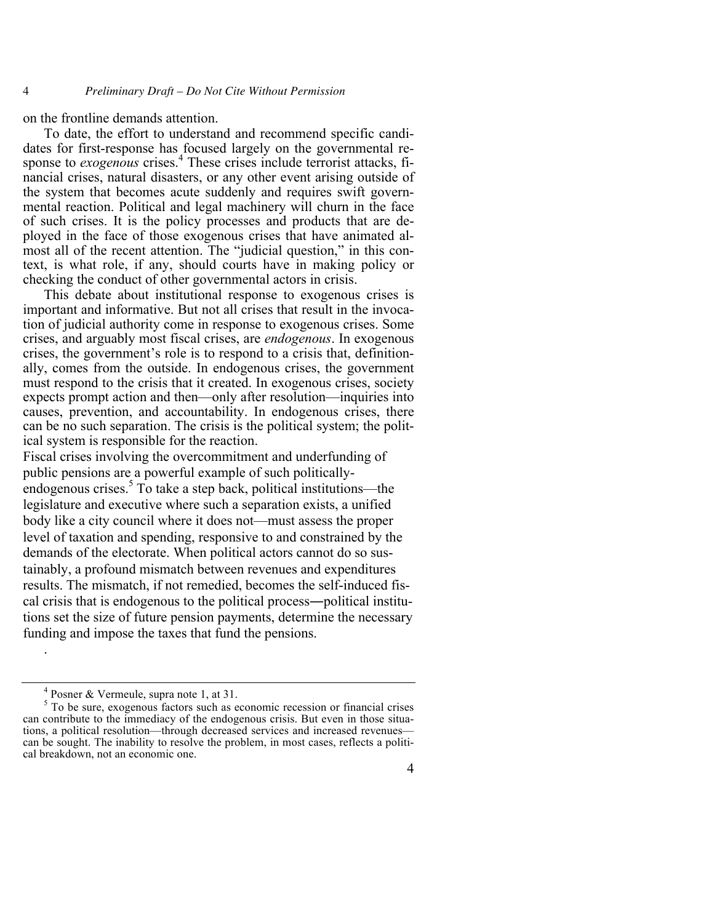on the frontline demands attention.

To date, the effort to understand and recommend specific candidates for first-response has focused largely on the governmental response to *exogenous* crises.<sup>4</sup> These crises include terrorist attacks, financial crises, natural disasters, or any other event arising outside of the system that becomes acute suddenly and requires swift governmental reaction. Political and legal machinery will churn in the face of such crises. It is the policy processes and products that are deployed in the face of those exogenous crises that have animated almost all of the recent attention. The "judicial question," in this context, is what role, if any, should courts have in making policy or checking the conduct of other governmental actors in crisis.

This debate about institutional response to exogenous crises is important and informative. But not all crises that result in the invocation of judicial authority come in response to exogenous crises. Some crises, and arguably most fiscal crises, are *endogenous*. In exogenous crises, the government's role is to respond to a crisis that, definitionally, comes from the outside. In endogenous crises, the government must respond to the crisis that it created. In exogenous crises, society expects prompt action and then—only after resolution—inquiries into causes, prevention, and accountability. In endogenous crises, there can be no such separation. The crisis is the political system; the political system is responsible for the reaction.

Fiscal crises involving the overcommitment and underfunding of public pensions are a powerful example of such politicallyendogenous crises.<sup>5</sup> To take a step back, political institutions—the legislature and executive where such a separation exists, a unified body like a city council where it does not—must assess the proper level of taxation and spending, responsive to and constrained by the demands of the electorate. When political actors cannot do so sustainably, a profound mismatch between revenues and expenditures results. The mismatch, if not remedied, becomes the self-induced fiscal crisis that is endogenous to the political process―political institutions set the size of future pension payments, determine the necessary funding and impose the taxes that fund the pensions.

.

 $\frac{4}{5}$  Posner & Vermeule, supra note 1, at 31.<br> $\frac{5}{5}$  To be sure, exogenous factors such as economic recession or financial crises can contribute to the immediacy of the endogenous crisis. But even in those situations, a political resolution—through decreased services and increased revenues can be sought. The inability to resolve the problem, in most cases, reflects a political breakdown, not an economic one.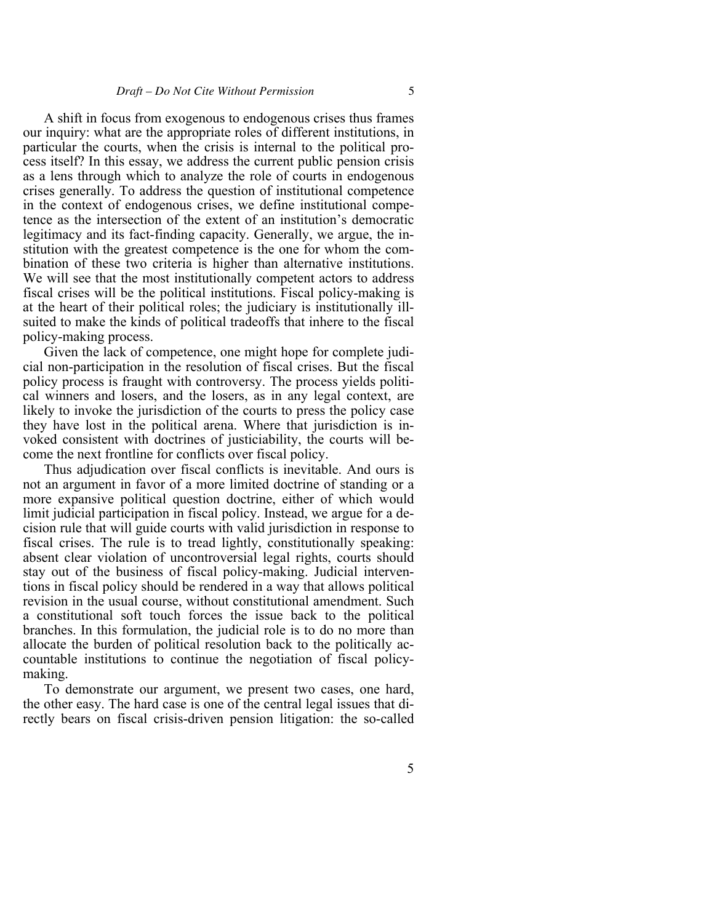A shift in focus from exogenous to endogenous crises thus frames our inquiry: what are the appropriate roles of different institutions, in particular the courts, when the crisis is internal to the political process itself? In this essay, we address the current public pension crisis as a lens through which to analyze the role of courts in endogenous crises generally. To address the question of institutional competence in the context of endogenous crises, we define institutional competence as the intersection of the extent of an institution's democratic legitimacy and its fact-finding capacity. Generally, we argue, the institution with the greatest competence is the one for whom the combination of these two criteria is higher than alternative institutions. We will see that the most institutionally competent actors to address fiscal crises will be the political institutions. Fiscal policy-making is at the heart of their political roles; the judiciary is institutionally illsuited to make the kinds of political tradeoffs that inhere to the fiscal policy-making process.

Given the lack of competence, one might hope for complete judicial non-participation in the resolution of fiscal crises. But the fiscal policy process is fraught with controversy. The process yields political winners and losers, and the losers, as in any legal context, are likely to invoke the jurisdiction of the courts to press the policy case they have lost in the political arena. Where that jurisdiction is invoked consistent with doctrines of justiciability, the courts will become the next frontline for conflicts over fiscal policy.

Thus adjudication over fiscal conflicts is inevitable. And ours is not an argument in favor of a more limited doctrine of standing or a more expansive political question doctrine, either of which would limit judicial participation in fiscal policy. Instead, we argue for a decision rule that will guide courts with valid jurisdiction in response to fiscal crises. The rule is to tread lightly, constitutionally speaking: absent clear violation of uncontroversial legal rights, courts should stay out of the business of fiscal policy-making. Judicial interventions in fiscal policy should be rendered in a way that allows political revision in the usual course, without constitutional amendment. Such a constitutional soft touch forces the issue back to the political branches. In this formulation, the judicial role is to do no more than allocate the burden of political resolution back to the politically accountable institutions to continue the negotiation of fiscal policymaking.

To demonstrate our argument, we present two cases, one hard, the other easy. The hard case is one of the central legal issues that directly bears on fiscal crisis-driven pension litigation: the so-called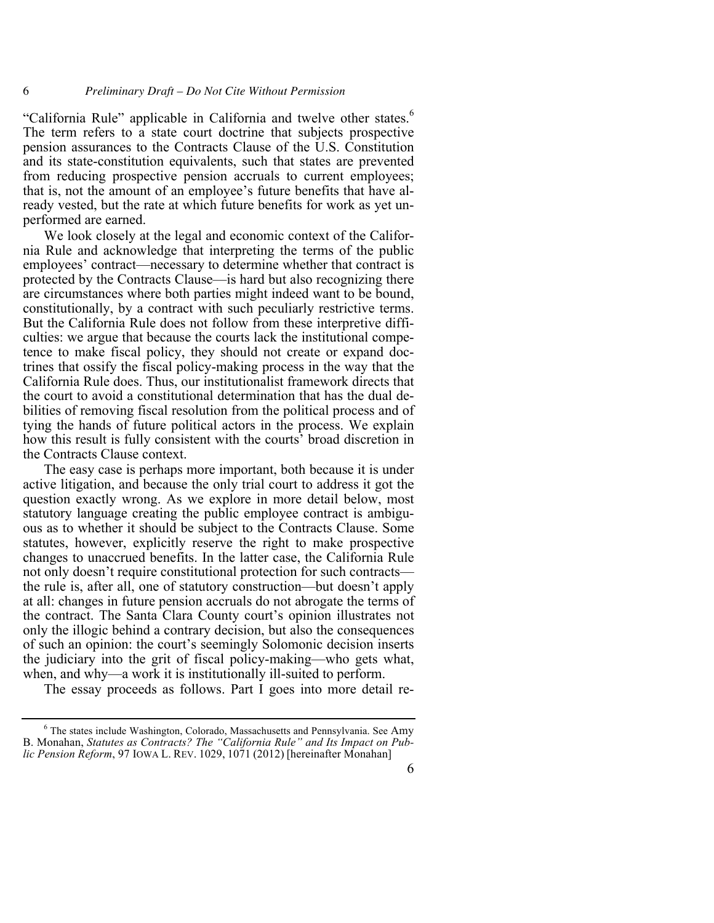"California Rule" applicable in California and twelve other states.<sup>6</sup> The term refers to a state court doctrine that subjects prospective pension assurances to the Contracts Clause of the U.S. Constitution and its state-constitution equivalents, such that states are prevented from reducing prospective pension accruals to current employees; that is, not the amount of an employee's future benefits that have already vested, but the rate at which future benefits for work as yet unperformed are earned.

We look closely at the legal and economic context of the California Rule and acknowledge that interpreting the terms of the public employees' contract—necessary to determine whether that contract is protected by the Contracts Clause—is hard but also recognizing there are circumstances where both parties might indeed want to be bound, constitutionally, by a contract with such peculiarly restrictive terms. But the California Rule does not follow from these interpretive difficulties: we argue that because the courts lack the institutional competence to make fiscal policy, they should not create or expand doctrines that ossify the fiscal policy-making process in the way that the California Rule does. Thus, our institutionalist framework directs that the court to avoid a constitutional determination that has the dual debilities of removing fiscal resolution from the political process and of tying the hands of future political actors in the process. We explain how this result is fully consistent with the courts' broad discretion in the Contracts Clause context.

The easy case is perhaps more important, both because it is under active litigation, and because the only trial court to address it got the question exactly wrong. As we explore in more detail below, most statutory language creating the public employee contract is ambiguous as to whether it should be subject to the Contracts Clause. Some statutes, however, explicitly reserve the right to make prospective changes to unaccrued benefits. In the latter case, the California Rule not only doesn't require constitutional protection for such contracts the rule is, after all, one of statutory construction—but doesn't apply at all: changes in future pension accruals do not abrogate the terms of the contract. The Santa Clara County court's opinion illustrates not only the illogic behind a contrary decision, but also the consequences of such an opinion: the court's seemingly Solomonic decision inserts the judiciary into the grit of fiscal policy-making—who gets what, when, and why—a work it is institutionally ill-suited to perform.

The essay proceeds as follows. Part I goes into more detail re-

<sup>6</sup> The states include Washington, Colorado, Massachusetts and Pennsylvania. See Amy B. Monahan, *Statutes as Contracts? The "California Rule" and Its Impact on Public Pension Reform*, 97 IOWA L. REV. 1029, 1071 (2012) [hereinafter Monahan]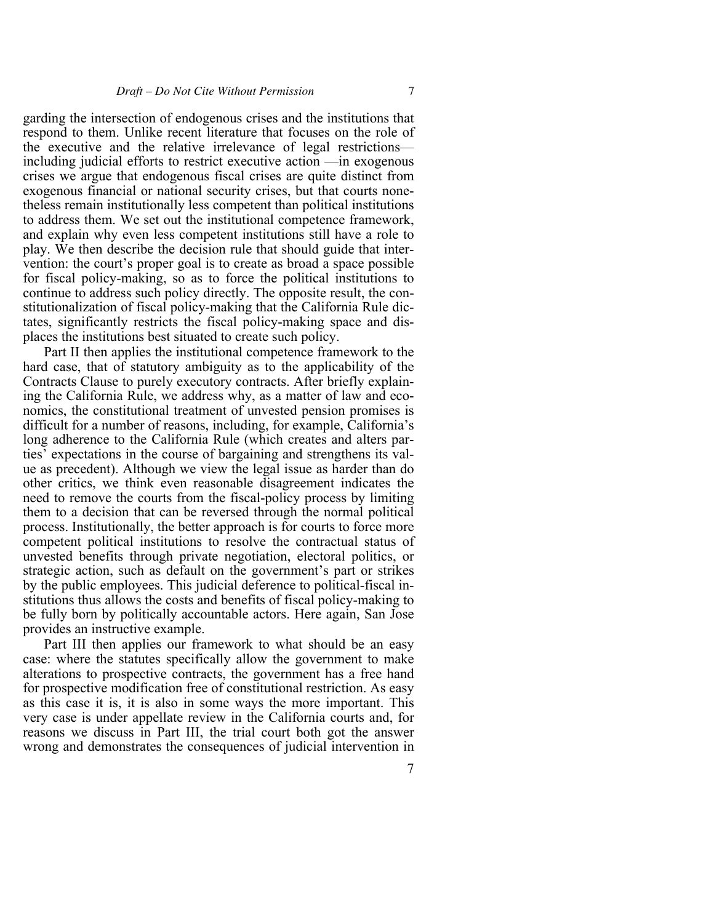garding the intersection of endogenous crises and the institutions that respond to them. Unlike recent literature that focuses on the role of the executive and the relative irrelevance of legal restrictions including judicial efforts to restrict executive action —in exogenous crises we argue that endogenous fiscal crises are quite distinct from exogenous financial or national security crises, but that courts nonetheless remain institutionally less competent than political institutions to address them. We set out the institutional competence framework, and explain why even less competent institutions still have a role to play. We then describe the decision rule that should guide that intervention: the court's proper goal is to create as broad a space possible for fiscal policy-making, so as to force the political institutions to continue to address such policy directly. The opposite result, the constitutionalization of fiscal policy-making that the California Rule dictates, significantly restricts the fiscal policy-making space and displaces the institutions best situated to create such policy.

Part II then applies the institutional competence framework to the hard case, that of statutory ambiguity as to the applicability of the Contracts Clause to purely executory contracts. After briefly explaining the California Rule, we address why, as a matter of law and economics, the constitutional treatment of unvested pension promises is difficult for a number of reasons, including, for example, California's long adherence to the California Rule (which creates and alters parties' expectations in the course of bargaining and strengthens its value as precedent). Although we view the legal issue as harder than do other critics, we think even reasonable disagreement indicates the need to remove the courts from the fiscal-policy process by limiting them to a decision that can be reversed through the normal political process. Institutionally, the better approach is for courts to force more competent political institutions to resolve the contractual status of unvested benefits through private negotiation, electoral politics, or strategic action, such as default on the government's part or strikes by the public employees. This judicial deference to political-fiscal institutions thus allows the costs and benefits of fiscal policy-making to be fully born by politically accountable actors. Here again, San Jose provides an instructive example.

Part III then applies our framework to what should be an easy case: where the statutes specifically allow the government to make alterations to prospective contracts, the government has a free hand for prospective modification free of constitutional restriction. As easy as this case it is, it is also in some ways the more important. This very case is under appellate review in the California courts and, for reasons we discuss in Part III, the trial court both got the answer wrong and demonstrates the consequences of judicial intervention in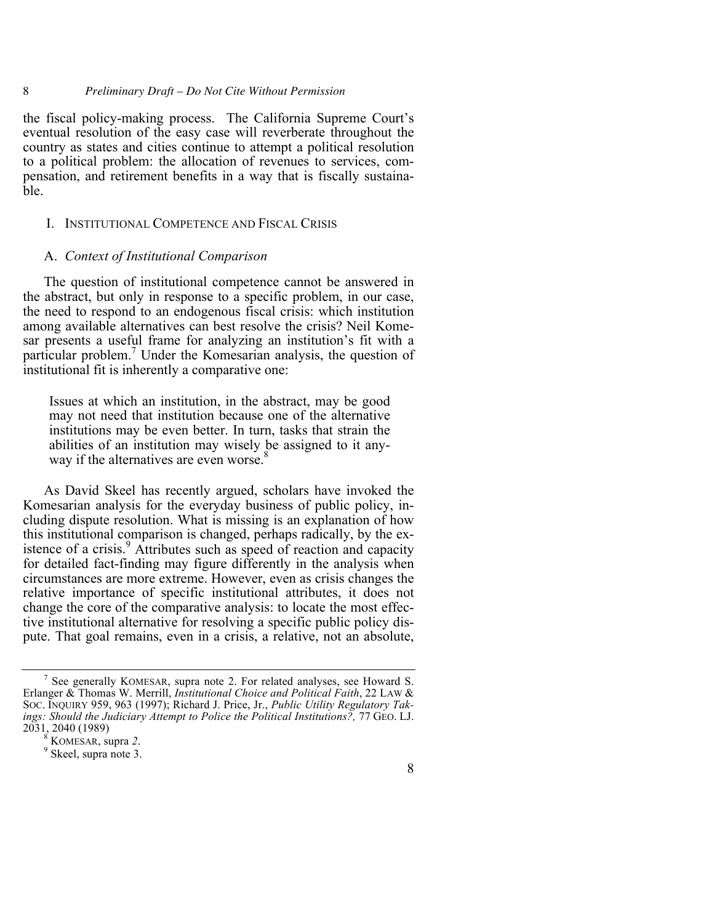# 8 *Preliminary Draft – Do Not Cite Without Permission*

the fiscal policy-making process. The California Supreme Court's eventual resolution of the easy case will reverberate throughout the country as states and cities continue to attempt a political resolution to a political problem: the allocation of revenues to services, compensation, and retirement benefits in a way that is fiscally sustainable.

#### I. INSTITUTIONAL COMPETENCE AND FISCAL CRISIS

# A. *Context of Institutional Comparison*

The question of institutional competence cannot be answered in the abstract, but only in response to a specific problem, in our case, the need to respond to an endogenous fiscal crisis: which institution among available alternatives can best resolve the crisis? Neil Komesar presents a useful frame for analyzing an institution's fit with a particular problem.<sup>7</sup> Under the Komesarian analysis, the question of institutional fit is inherently a comparative one:

Issues at which an institution, in the abstract, may be good may not need that institution because one of the alternative institutions may be even better. In turn, tasks that strain the abilities of an institution may wisely be assigned to it anyway if the alternatives are even worse.<sup>8</sup>

As David Skeel has recently argued, scholars have invoked the Komesarian analysis for the everyday business of public policy, including dispute resolution. What is missing is an explanation of how this institutional comparison is changed, perhaps radically, by the existence of a crisis. <sup>9</sup> Attributes such as speed of reaction and capacity for detailed fact-finding may figure differently in the analysis when circumstances are more extreme. However, even as crisis changes the relative importance of specific institutional attributes, it does not change the core of the comparative analysis: to locate the most effective institutional alternative for resolving a specific public policy dispute. That goal remains, even in a crisis, a relative, not an absolute,

See generally KOMESAR, supra note 2. For related analyses, see Howard S. Erlanger & Thomas W. Merrill, *Institutional Choice and Political Faith*, 22 LAW & SOC. INQUIRY 959, 963 (1997); Richard J. Price, Jr., *Public Utility Regulatory Takings: Should the Judiciary Attempt to Police the Political Institutions?,* 77 GEO. LJ. 2031, 2040 (1989)<br><sup>8</sup> KOMESAR, supra 2.<br>9 Skeel, supra note 3.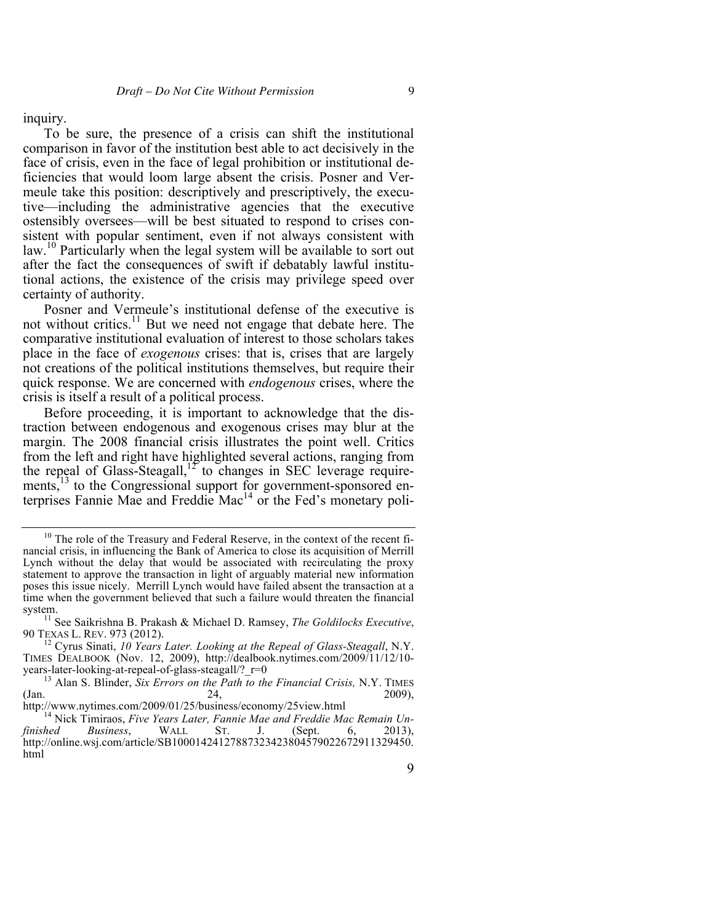inquiry.

To be sure, the presence of a crisis can shift the institutional comparison in favor of the institution best able to act decisively in the face of crisis, even in the face of legal prohibition or institutional deficiencies that would loom large absent the crisis. Posner and Vermeule take this position: descriptively and prescriptively, the executive—including the administrative agencies that the executive ostensibly oversees—will be best situated to respond to crises consistent with popular sentiment, even if not always consistent with law.<sup>10</sup> Particularly when the legal system will be available to sort out after the fact the consequences of swift if debatably lawful institutional actions, the existence of the crisis may privilege speed over certainty of authority.

Posner and Vermeule's institutional defense of the executive is not without critics.<sup>11</sup> But we need not engage that debate here. The comparative institutional evaluation of interest to those scholars takes place in the face of *exogenous* crises: that is, crises that are largely not creations of the political institutions themselves, but require their quick response. We are concerned with *endogenous* crises, where the crisis is itself a result of a political process.

Before proceeding, it is important to acknowledge that the distraction between endogenous and exogenous crises may blur at the margin. The 2008 financial crisis illustrates the point well. Critics from the left and right have highlighted several actions, ranging from the repeal of Glass-Steagall,<sup>12</sup> to changes in SEC leverage requirements,<sup>13</sup> to the Congressional support for government-sponsored enterprises Fannie Mae and Freddie Mac<sup>14</sup> or the Fed's monetary poli-

<sup>&</sup>lt;sup>10</sup> The role of the Treasury and Federal Reserve, in the context of the recent financial crisis, in influencing the Bank of America to close its acquisition of Merrill Lynch without the delay that would be associated with recirculating the proxy statement to approve the transaction in light of arguably material new information poses this issue nicely. Merrill Lynch would have failed absent the transaction at a time when the government believed that such a failure would threaten the financial

system.<br><sup>11</sup> See Saikrishna B. Prakash & Michael D. Ramsey, *The Goldilocks Executive*, 90 TEXAS L. REV. 973 (2012).

<sup>&</sup>lt;sup>12</sup> Cyrus Sinati, *10 Years Later. Looking at the Repeal of Glass-Steagall*, N.Y. TIMES DEALBOOK (Nov. 12, 2009), http://dealbook.nytimes.com/2009/11/12/10-<br>years-later-looking-at-repeal-of-glass-steagall/?  $r=0$ 

<sup>&</sup>lt;sup>13</sup> Alan S. Blinder, *Six Errors on the Path to the Financial Crisis, N.Y. TIMES* (Jan. 2009),  $\frac{24}{\text{http://www.nytimes.com/2009/01/25/business/economy/25view.html}}$  2009),

<sup>&</sup>lt;sup>14</sup> Nick Timiraos, *Five Years Later*, *Fannie Mae and Freddie Mac Remain Un-*<br>finished Business, WALL ST. J. (Sept. 6, 2013), *finished Business*, *St. J. (Sept. 6, 2013)* http://online.wsj.com/article/SB10001424127887323423804579022672911329450. html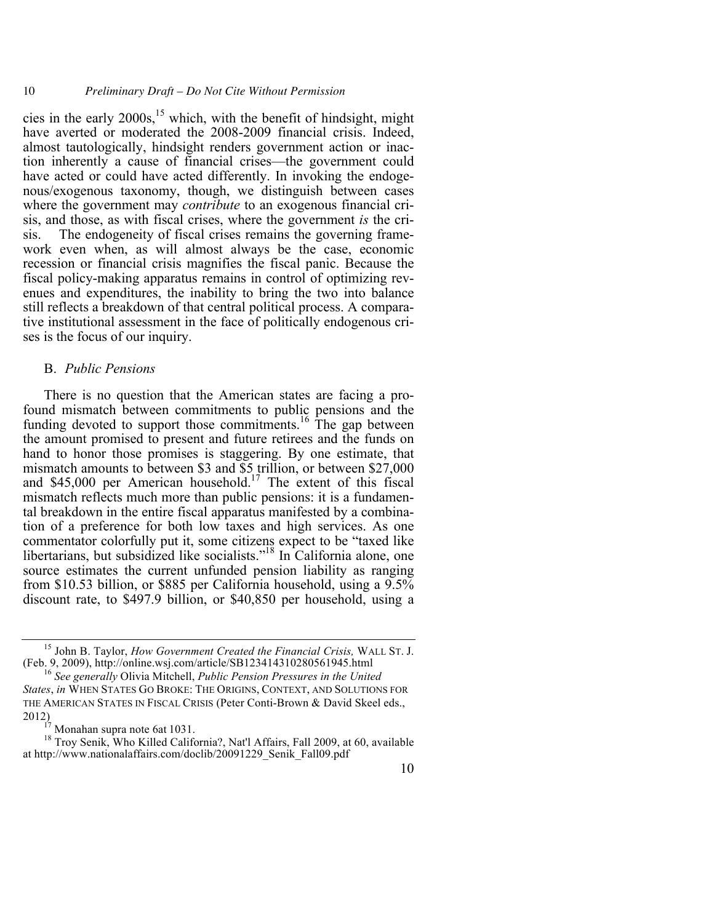10 *Preliminary Draft – Do Not Cite Without Permission*

cies in the early  $2000s$ ,<sup>15</sup> which, with the benefit of hindsight, might have averted or moderated the 2008-2009 financial crisis. Indeed, almost tautologically, hindsight renders government action or inaction inherently a cause of financial crises—the government could have acted or could have acted differently. In invoking the endogenous/exogenous taxonomy, though, we distinguish between cases where the government may *contribute* to an exogenous financial crisis, and those, as with fiscal crises, where the government *is* the crisis. The endogeneity of fiscal crises remains the governing framework even when, as will almost always be the case, economic recession or financial crisis magnifies the fiscal panic. Because the fiscal policy-making apparatus remains in control of optimizing revenues and expenditures, the inability to bring the two into balance still reflects a breakdown of that central political process. A comparative institutional assessment in the face of politically endogenous crises is the focus of our inquiry.

## B. *Public Pensions*

There is no question that the American states are facing a profound mismatch between commitments to public pensions and the funding devoted to support those commitments.<sup>16</sup> The gap between the amount promised to present and future retirees and the funds on hand to honor those promises is staggering. By one estimate, that mismatch amounts to between \$3 and \$5 trillion, or between \$27,000 and \$45,000 per American household.<sup>17</sup> The extent of this fiscal mismatch reflects much more than public pensions: it is a fundamental breakdown in the entire fiscal apparatus manifested by a combination of a preference for both low taxes and high services. As one commentator colorfully put it, some citizens expect to be "taxed like libertarians, but subsidized like socialists."<sup>18</sup> In California alone, one source estimates the current unfunded pension liability as ranging from \$10.53 billion, or \$885 per California household, using a 9.5% discount rate, to \$497.9 billion, or \$40,850 per household, using a

<sup>&</sup>lt;sup>15</sup> John B. Taylor, *How Government Created the Financial Crisis*, WALL ST. J. (Feb. 9, 2009), http://online.wsj.com/article/SB123414310280561945.html

<sup>&</sup>lt;sup>16</sup> See generally Olivia Mitchell, *Public Pension Pressures in the United States*, *in* WHEN STATES GO BROKE: THE ORIGINS, CONTEXT, AND SOLUTIONS FOR THE AMERICAN STATES IN FISCAL CRISIS (Peter Conti-Brown & David Skeel eds., 2012)<br><sup>17</sup> Monahan supra note 6at 1031.<br><sup>18</sup> Troy Senik, Who Killed California?, Nat'l Affairs, Fall 2009, at 60, available

at http://www.nationalaffairs.com/doclib/20091229\_Senik\_Fall09.pdf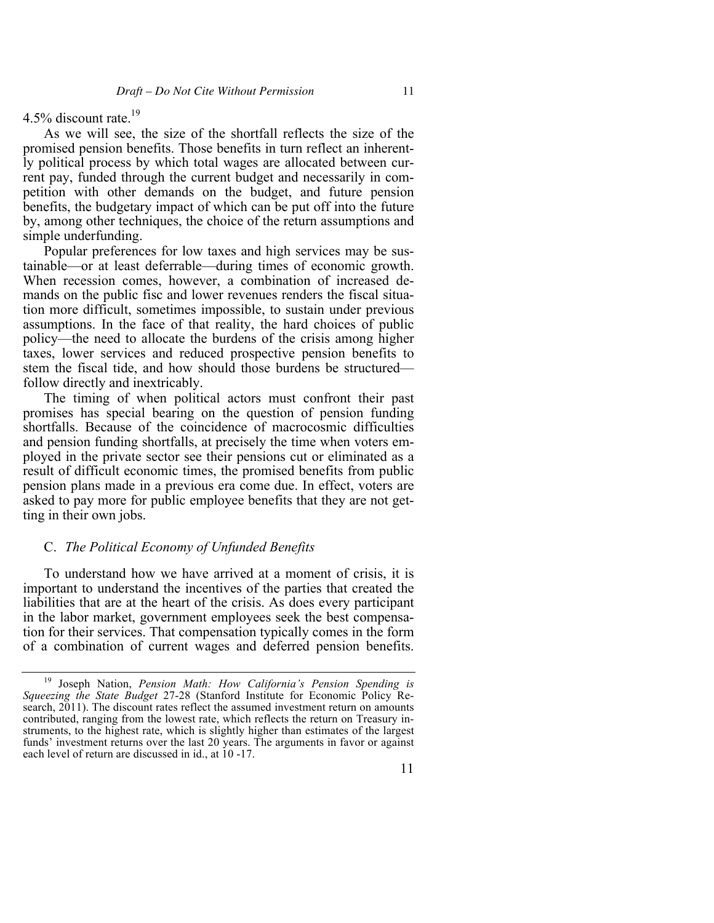4.5% discount rate.19

As we will see, the size of the shortfall reflects the size of the promised pension benefits. Those benefits in turn reflect an inherently political process by which total wages are allocated between current pay, funded through the current budget and necessarily in competition with other demands on the budget, and future pension benefits, the budgetary impact of which can be put off into the future by, among other techniques, the choice of the return assumptions and simple underfunding.

Popular preferences for low taxes and high services may be sustainable—or at least deferrable—during times of economic growth. When recession comes, however, a combination of increased demands on the public fisc and lower revenues renders the fiscal situation more difficult, sometimes impossible, to sustain under previous assumptions. In the face of that reality, the hard choices of public policy—the need to allocate the burdens of the crisis among higher taxes, lower services and reduced prospective pension benefits to stem the fiscal tide, and how should those burdens be structured follow directly and inextricably.

The timing of when political actors must confront their past promises has special bearing on the question of pension funding shortfalls. Because of the coincidence of macrocosmic difficulties and pension funding shortfalls, at precisely the time when voters employed in the private sector see their pensions cut or eliminated as a result of difficult economic times, the promised benefits from public pension plans made in a previous era come due. In effect, voters are asked to pay more for public employee benefits that they are not getting in their own jobs.

# C. *The Political Economy of Unfunded Benefits*

To understand how we have arrived at a moment of crisis, it is important to understand the incentives of the parties that created the liabilities that are at the heart of the crisis. As does every participant in the labor market, government employees seek the best compensation for their services. That compensation typically comes in the form of a combination of current wages and deferred pension benefits.

<sup>19</sup> Joseph Nation, *Pension Math: How California's Pension Spending is Squeezing the State Budget* 27-28 (Stanford Institute for Economic Policy Research, 2011). The discount rates reflect the assumed investment return on amounts contributed, ranging from the lowest rate, which reflects the return on Treasury instruments, to the highest rate, which is slightly higher than estimates of the largest funds' investment returns over the last 20 years. The arguments in favor or against each level of return are discussed in id., at 10 -17.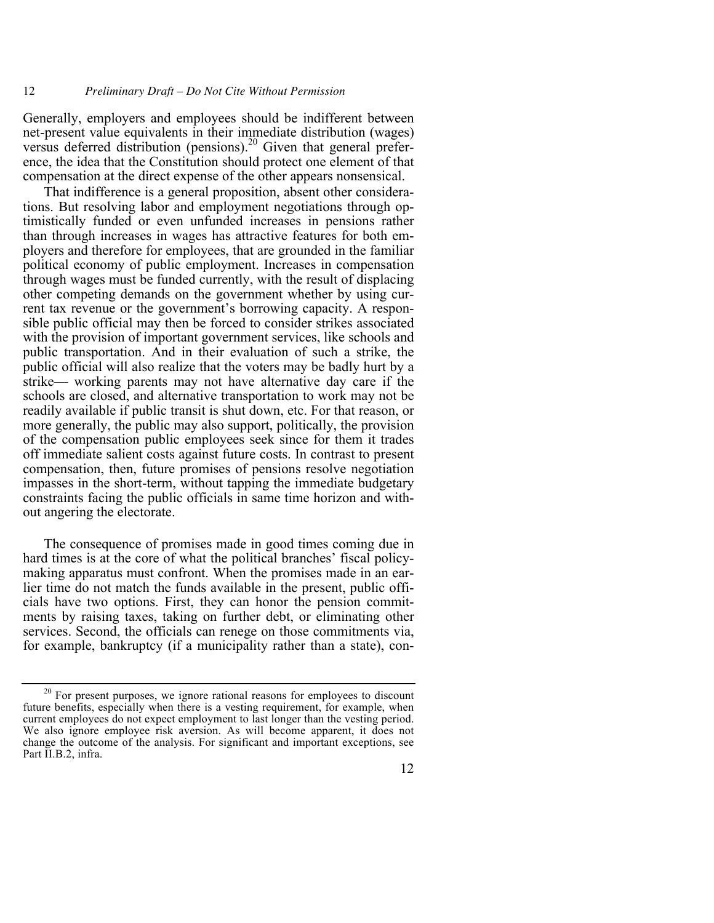Generally, employers and employees should be indifferent between net-present value equivalents in their immediate distribution (wages) versus deferred distribution (pensions).<sup>20</sup> Given that general preference, the idea that the Constitution should protect one element of that compensation at the direct expense of the other appears nonsensical.

That indifference is a general proposition, absent other considerations. But resolving labor and employment negotiations through optimistically funded or even unfunded increases in pensions rather than through increases in wages has attractive features for both employers and therefore for employees, that are grounded in the familiar political economy of public employment. Increases in compensation through wages must be funded currently, with the result of displacing other competing demands on the government whether by using current tax revenue or the government's borrowing capacity. A responsible public official may then be forced to consider strikes associated with the provision of important government services, like schools and public transportation. And in their evaluation of such a strike, the public official will also realize that the voters may be badly hurt by a strike— working parents may not have alternative day care if the schools are closed, and alternative transportation to work may not be readily available if public transit is shut down, etc. For that reason, or more generally, the public may also support, politically, the provision of the compensation public employees seek since for them it trades off immediate salient costs against future costs. In contrast to present compensation, then, future promises of pensions resolve negotiation impasses in the short-term, without tapping the immediate budgetary constraints facing the public officials in same time horizon and without angering the electorate.

The consequence of promises made in good times coming due in hard times is at the core of what the political branches' fiscal policymaking apparatus must confront. When the promises made in an earlier time do not match the funds available in the present, public officials have two options. First, they can honor the pension commitments by raising taxes, taking on further debt, or eliminating other services. Second, the officials can renege on those commitments via, for example, bankruptcy (if a municipality rather than a state), con-

 $20^{\circ}$  For present purposes, we ignore rational reasons for employees to discount future benefits, especially when there is a vesting requirement, for example, when current employees do not expect employment to last longer than the vesting period. We also ignore employee risk aversion. As will become apparent, it does not change the outcome of the analysis. For significant and important exceptions, see Part II.B.2, infra.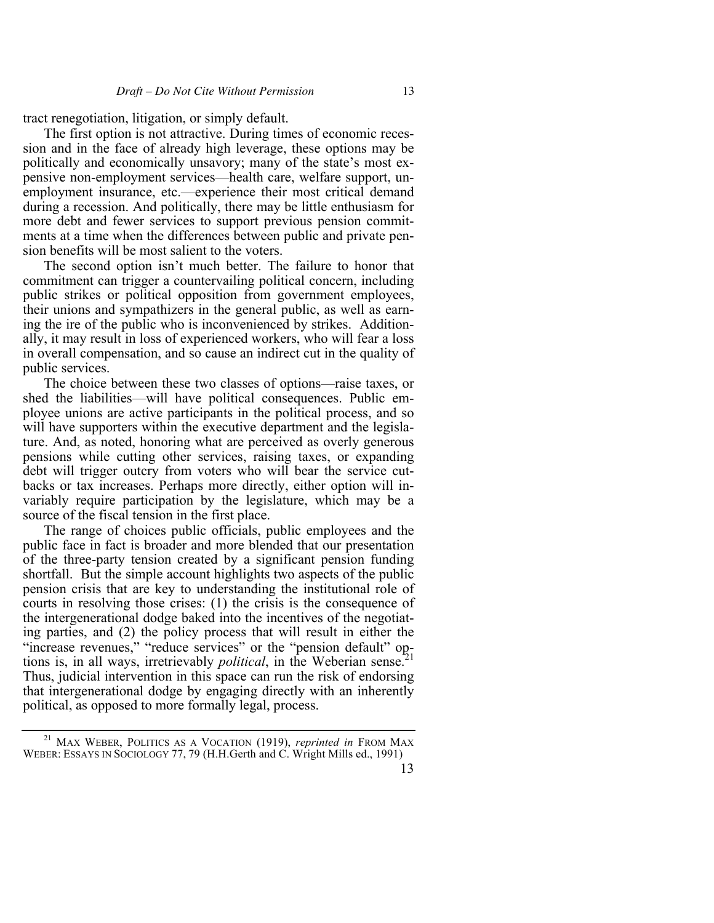tract renegotiation, litigation, or simply default.

The first option is not attractive. During times of economic recession and in the face of already high leverage, these options may be politically and economically unsavory; many of the state's most expensive non-employment services—health care, welfare support, unemployment insurance, etc.—experience their most critical demand during a recession. And politically, there may be little enthusiasm for more debt and fewer services to support previous pension commitments at a time when the differences between public and private pension benefits will be most salient to the voters.

The second option isn't much better. The failure to honor that commitment can trigger a countervailing political concern, including public strikes or political opposition from government employees, their unions and sympathizers in the general public, as well as earning the ire of the public who is inconvenienced by strikes. Additionally, it may result in loss of experienced workers, who will fear a loss in overall compensation, and so cause an indirect cut in the quality of public services.

The choice between these two classes of options—raise taxes, or shed the liabilities—will have political consequences. Public employee unions are active participants in the political process, and so will have supporters within the executive department and the legislature. And, as noted, honoring what are perceived as overly generous pensions while cutting other services, raising taxes, or expanding debt will trigger outcry from voters who will bear the service cutbacks or tax increases. Perhaps more directly, either option will invariably require participation by the legislature, which may be a source of the fiscal tension in the first place.

The range of choices public officials, public employees and the public face in fact is broader and more blended that our presentation of the three-party tension created by a significant pension funding shortfall. But the simple account highlights two aspects of the public pension crisis that are key to understanding the institutional role of courts in resolving those crises: (1) the crisis is the consequence of the intergenerational dodge baked into the incentives of the negotiating parties, and (2) the policy process that will result in either the "increase revenues," "reduce services" or the "pension default" options is, in all ways, irretrievably *political*, in the Weberian sense.<sup>2</sup> Thus, judicial intervention in this space can run the risk of endorsing that intergenerational dodge by engaging directly with an inherently political, as opposed to more formally legal, process.

<sup>21</sup> MAX WEBER, POLITICS AS A VOCATION (1919), *reprinted in* FROM MAX WEBER: ESSAYS IN SOCIOLOGY 77, 79 (H.H.Gerth and C. Wright Mills ed., 1991)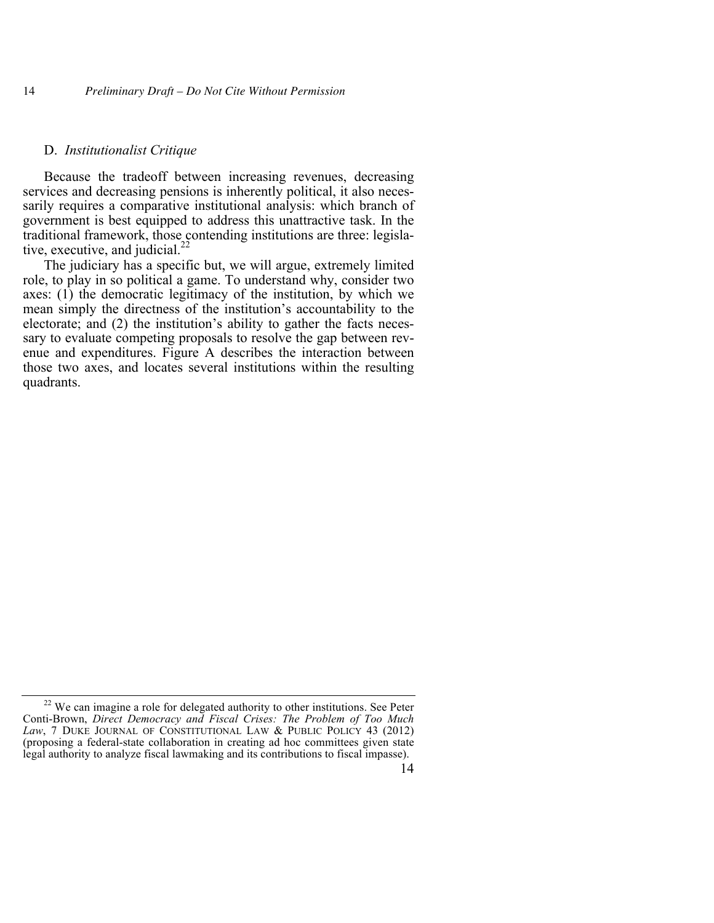#### D. *Institutionalist Critique*

Because the tradeoff between increasing revenues, decreasing services and decreasing pensions is inherently political, it also necessarily requires a comparative institutional analysis: which branch of government is best equipped to address this unattractive task. In the traditional framework, those contending institutions are three: legislative, executive, and judicial.<sup>22</sup>

The judiciary has a specific but, we will argue, extremely limited role, to play in so political a game. To understand why, consider two axes: (1) the democratic legitimacy of the institution, by which we mean simply the directness of the institution's accountability to the electorate; and (2) the institution's ability to gather the facts necessary to evaluate competing proposals to resolve the gap between revenue and expenditures. Figure A describes the interaction between those two axes, and locates several institutions within the resulting quadrants.

 $22$  We can imagine a role for delegated authority to other institutions. See Peter Conti-Brown, *Direct Democracy and Fiscal Crises: The Problem of Too Much*  Law, 7 DUKE JOURNAL OF CONSTITUTIONAL LAW & PUBLIC POLICY 43 (2012) (proposing a federal-state collaboration in creating ad hoc committees given state legal authority to analyze fiscal lawmaking and its contributions to fiscal impasse).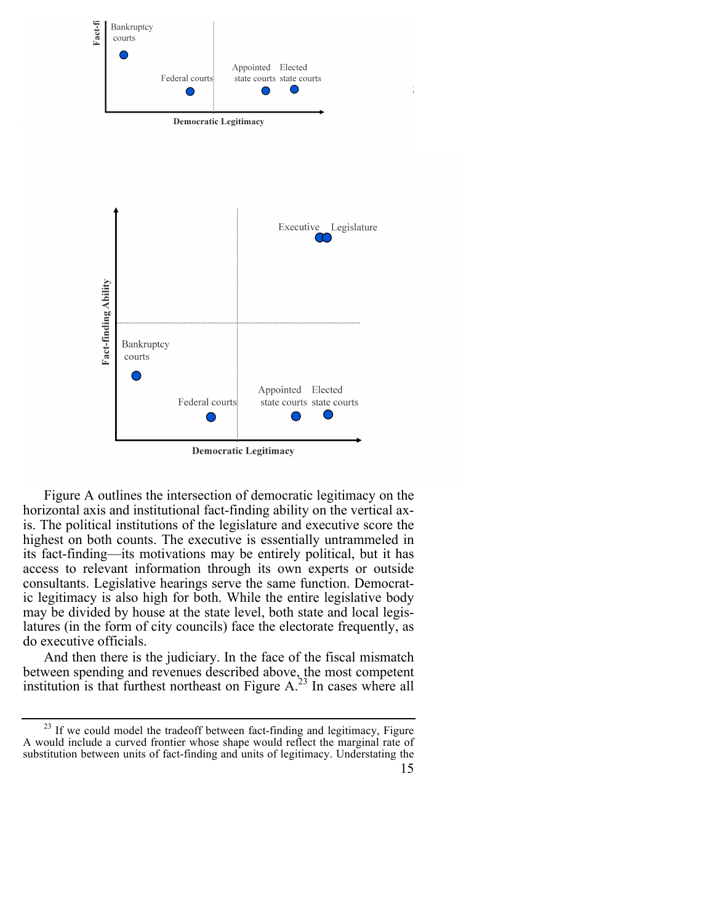

Figure A outlines the intersection of democratic legitimacy on the horizontal axis and institutional fact-finding ability on the vertical axis. The political institutions of the legislature and executive score the highest on both counts. The executive is essentially untrammeled in its fact-finding—its motivations may be entirely political, but it has access to relevant information through its own experts or outside consultants. Legislative hearings serve the same function. Democratic legitimacy is also high for both. While the entire legislative body may be divided by house at the state level, both state and local legislatures (in the form of city councils) face the electorate frequently, as do executive officials.

And then there is the judiciary. In the face of the fiscal mismatch between spending and revenues described above, the most competent institution is that furthest northeast on Figure  $A<sup>23</sup>$  In cases where all

<sup>15</sup> <sup>23</sup> If we could model the tradeoff between fact-finding and legitimacy, Figure A would include a curved frontier whose shape would reflect the marginal rate of substitution between units of fact-finding and units of legitimacy. Understating the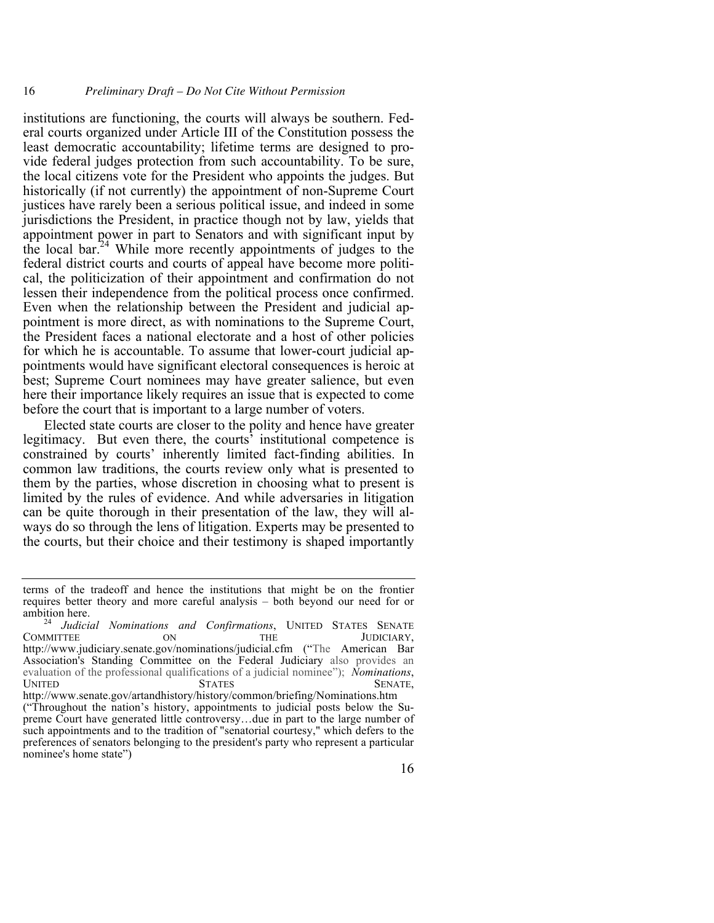institutions are functioning, the courts will always be southern. Federal courts organized under Article III of the Constitution possess the least democratic accountability; lifetime terms are designed to provide federal judges protection from such accountability. To be sure, the local citizens vote for the President who appoints the judges. But historically (if not currently) the appointment of non-Supreme Court justices have rarely been a serious political issue, and indeed in some jurisdictions the President, in practice though not by law, yields that appointment power in part to Senators and with significant input by the local bar.24 While more recently appointments of judges to the federal district courts and courts of appeal have become more political, the politicization of their appointment and confirmation do not lessen their independence from the political process once confirmed. Even when the relationship between the President and judicial appointment is more direct, as with nominations to the Supreme Court, the President faces a national electorate and a host of other policies for which he is accountable. To assume that lower-court judicial appointments would have significant electoral consequences is heroic at best; Supreme Court nominees may have greater salience, but even here their importance likely requires an issue that is expected to come before the court that is important to a large number of voters.

Elected state courts are closer to the polity and hence have greater legitimacy. But even there, the courts' institutional competence is constrained by courts' inherently limited fact-finding abilities. In common law traditions, the courts review only what is presented to them by the parties, whose discretion in choosing what to present is limited by the rules of evidence. And while adversaries in litigation can be quite thorough in their presentation of the law, they will always do so through the lens of litigation. Experts may be presented to the courts, but their choice and their testimony is shaped importantly

terms of the tradeoff and hence the institutions that might be on the frontier requires better theory and more careful analysis – both beyond our need for or ambition here. <sup>24</sup> *Judicial Nominations and Confirmations*, UNITED STATES SENATE

COMMITTEE ON THE JUDICIARY, http://www.judiciary.senate.gov/nominations/judicial.cfm ("The American Bar Association's Standing Committee on the Federal Judiciary also provides an evaluation of the professional qualifications of a judicial nominee"); *Nominations*, UNITED STATES SENATE,

http://www.senate.gov/artandhistory/history/common/briefing/Nominations.htm ("Throughout the nation's history, appointments to judicial posts below the Supreme Court have generated little controversy…due in part to the large number of such appointments and to the tradition of "senatorial courtesy," which defers to the preferences of senators belonging to the president's party who represent a particular nominee's home state")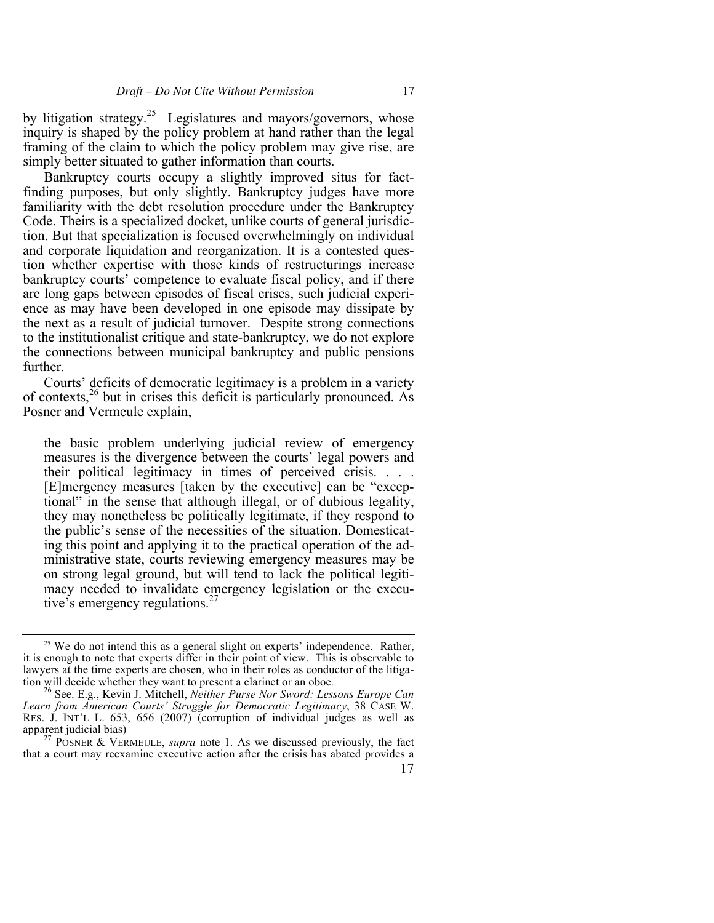by litigation strategy.<sup>25</sup> Legislatures and mayors/governors, whose inquiry is shaped by the policy problem at hand rather than the legal framing of the claim to which the policy problem may give rise, are simply better situated to gather information than courts.

Bankruptcy courts occupy a slightly improved situs for factfinding purposes, but only slightly. Bankruptcy judges have more familiarity with the debt resolution procedure under the Bankruptcy Code. Theirs is a specialized docket, unlike courts of general jurisdiction. But that specialization is focused overwhelmingly on individual and corporate liquidation and reorganization. It is a contested question whether expertise with those kinds of restructurings increase bankruptcy courts' competence to evaluate fiscal policy, and if there are long gaps between episodes of fiscal crises, such judicial experience as may have been developed in one episode may dissipate by the next as a result of judicial turnover. Despite strong connections to the institutionalist critique and state-bankruptcy, we do not explore the connections between municipal bankruptcy and public pensions further.

Courts' deficits of democratic legitimacy is a problem in a variety of contexts, $26$  but in crises this deficit is particularly pronounced. As Posner and Vermeule explain,

the basic problem underlying judicial review of emergency measures is the divergence between the courts' legal powers and their political legitimacy in times of perceived crisis. . . . [E]mergency measures [taken by the executive] can be "exceptional" in the sense that although illegal, or of dubious legality, they may nonetheless be politically legitimate, if they respond to the public's sense of the necessities of the situation. Domesticating this point and applying it to the practical operation of the administrative state, courts reviewing emergency measures may be on strong legal ground, but will tend to lack the political legitimacy needed to invalidate emergency legislation or the executive's emergency regulations.<sup>27</sup>

 $25$  We do not intend this as a general slight on experts' independence. Rather, it is enough to note that experts differ in their point of view. This is observable to lawyers at the time experts are chosen, who in their roles as conductor of the litigation will decide whether they want to present a clarinet or an oboe.

<sup>&</sup>lt;sup>26</sup> See. E.g., Kevin J. Mitchell, *Neither Purse Nor Sword: Lessons Europe Can Learn from American Courts' Struggle for Democratic Legitimacy*, 38 CASE W. RES. J. INT'L L. 653, 656 (2007) (corruption of individual judges as well as

<sup>&</sup>lt;sup>27</sup> POSNER & VERMEULE, *supra* note 1. As we discussed previously, the fact that a court may reexamine executive action after the crisis has abated provides a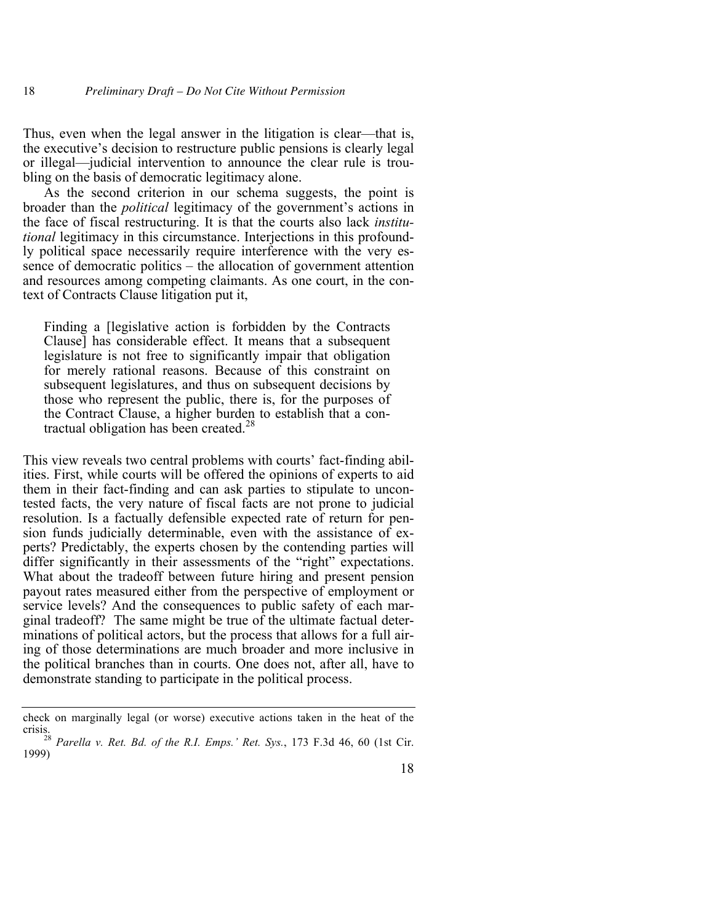Thus, even when the legal answer in the litigation is clear—that is, the executive's decision to restructure public pensions is clearly legal or illegal—judicial intervention to announce the clear rule is troubling on the basis of democratic legitimacy alone.

As the second criterion in our schema suggests, the point is broader than the *political* legitimacy of the government's actions in the face of fiscal restructuring. It is that the courts also lack *institutional* legitimacy in this circumstance. Interjections in this profoundly political space necessarily require interference with the very essence of democratic politics – the allocation of government attention and resources among competing claimants. As one court, in the context of Contracts Clause litigation put it,

Finding a [legislative action is forbidden by the Contracts Clause] has considerable effect. It means that a subsequent legislature is not free to significantly impair that obligation for merely rational reasons. Because of this constraint on subsequent legislatures, and thus on subsequent decisions by those who represent the public, there is, for the purposes of the Contract Clause, a higher burden to establish that a contractual obligation has been created. $^{28}$ 

This view reveals two central problems with courts' fact-finding abilities. First, while courts will be offered the opinions of experts to aid them in their fact-finding and can ask parties to stipulate to uncontested facts, the very nature of fiscal facts are not prone to judicial resolution. Is a factually defensible expected rate of return for pension funds judicially determinable, even with the assistance of experts? Predictably, the experts chosen by the contending parties will differ significantly in their assessments of the "right" expectations. What about the tradeoff between future hiring and present pension payout rates measured either from the perspective of employment or service levels? And the consequences to public safety of each marginal tradeoff? The same might be true of the ultimate factual determinations of political actors, but the process that allows for a full airing of those determinations are much broader and more inclusive in the political branches than in courts. One does not, after all, have to demonstrate standing to participate in the political process.

check on marginally legal (or worse) executive actions taken in the heat of the crisis.28 *Parella v. Ret. Bd. of the R.I. Emps.' Ret. Sys.*, 173 F.3d 46, 60 (1st Cir.

<sup>1999)</sup>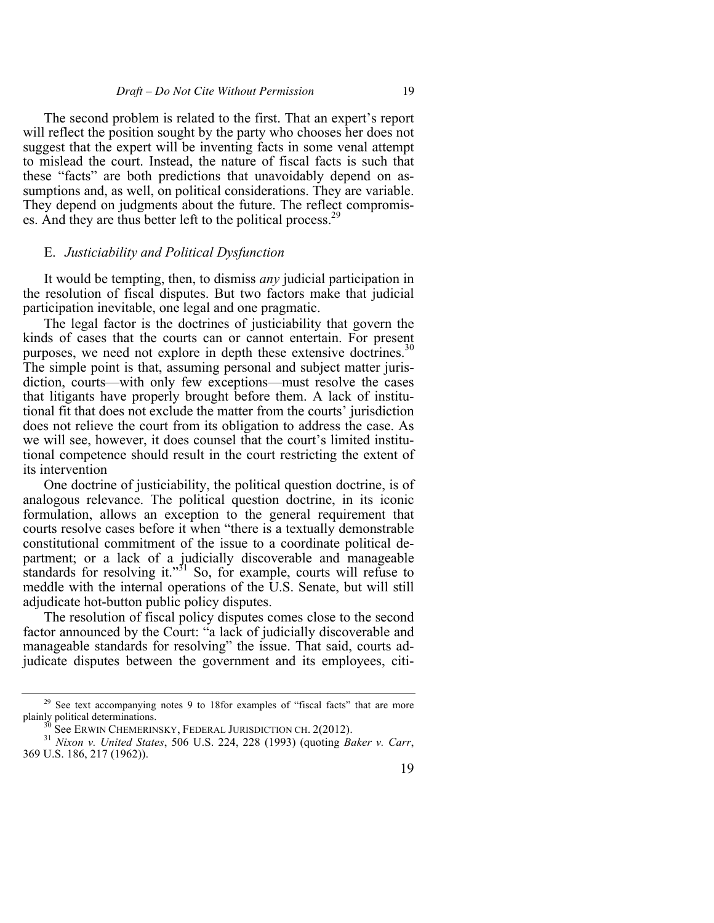The second problem is related to the first. That an expert's report will reflect the position sought by the party who chooses her does not suggest that the expert will be inventing facts in some venal attempt to mislead the court. Instead, the nature of fiscal facts is such that these "facts" are both predictions that unavoidably depend on assumptions and, as well, on political considerations. They are variable. They depend on judgments about the future. The reflect compromises. And they are thus better left to the political process.<sup>2</sup>

#### E. *Justiciability and Political Dysfunction*

It would be tempting, then, to dismiss *any* judicial participation in the resolution of fiscal disputes. But two factors make that judicial participation inevitable, one legal and one pragmatic.

The legal factor is the doctrines of justiciability that govern the kinds of cases that the courts can or cannot entertain. For present purposes, we need not explore in depth these extensive doctrines.<sup>30</sup> The simple point is that, assuming personal and subject matter jurisdiction, courts—with only few exceptions—must resolve the cases that litigants have properly brought before them. A lack of institutional fit that does not exclude the matter from the courts' jurisdiction does not relieve the court from its obligation to address the case. As we will see, however, it does counsel that the court's limited institutional competence should result in the court restricting the extent of its intervention

One doctrine of justiciability, the political question doctrine, is of analogous relevance. The political question doctrine, in its iconic formulation, allows an exception to the general requirement that courts resolve cases before it when "there is a textually demonstrable constitutional commitment of the issue to a coordinate political department; or a lack of a judicially discoverable and manageable standards for resolving it."<sup>31</sup> So, for example, courts will refuse to meddle with the internal operations of the U.S. Senate, but will still adjudicate hot-button public policy disputes.

The resolution of fiscal policy disputes comes close to the second factor announced by the Court: "a lack of judicially discoverable and manageable standards for resolving" the issue. That said, courts adjudicate disputes between the government and its employees, citi-

 $29$  See text accompanying notes 9 to 18for examples of "fiscal facts" that are more plainly political determinations.

<sup>&</sup>lt;sup>30</sup> See ERWIN CHEMERINSKY, FEDERAL JURISDICTION CH. 2(2012).<br><sup>31</sup> *Nixon v. United States*, 506 U.S. 224, 228 (1993) (quoting *Baker v. Carr*, 369 U.S. 186, 217 (1962)).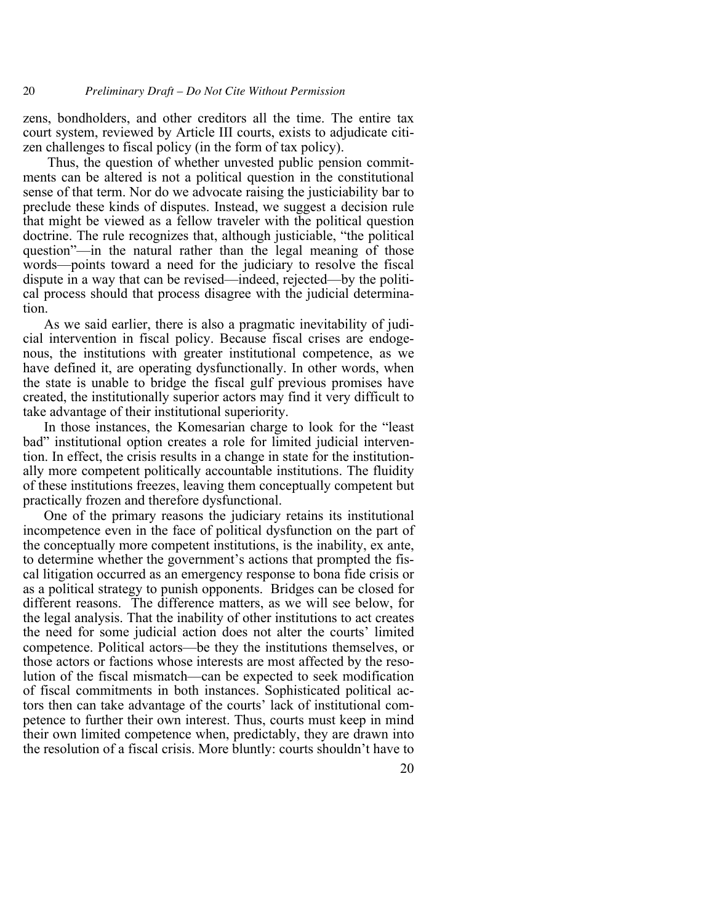20 *Preliminary Draft – Do Not Cite Without Permission*

zens, bondholders, and other creditors all the time. The entire tax court system, reviewed by Article III courts, exists to adjudicate citizen challenges to fiscal policy (in the form of tax policy).

Thus, the question of whether unvested public pension commitments can be altered is not a political question in the constitutional sense of that term. Nor do we advocate raising the justiciability bar to preclude these kinds of disputes. Instead, we suggest a decision rule that might be viewed as a fellow traveler with the political question doctrine. The rule recognizes that, although justiciable, "the political question"—in the natural rather than the legal meaning of those words—points toward a need for the judiciary to resolve the fiscal dispute in a way that can be revised—indeed, rejected—by the political process should that process disagree with the judicial determination.

As we said earlier, there is also a pragmatic inevitability of judicial intervention in fiscal policy. Because fiscal crises are endogenous, the institutions with greater institutional competence, as we have defined it, are operating dysfunctionally. In other words, when the state is unable to bridge the fiscal gulf previous promises have created, the institutionally superior actors may find it very difficult to take advantage of their institutional superiority.

In those instances, the Komesarian charge to look for the "least bad" institutional option creates a role for limited judicial intervention. In effect, the crisis results in a change in state for the institutionally more competent politically accountable institutions. The fluidity of these institutions freezes, leaving them conceptually competent but practically frozen and therefore dysfunctional.

One of the primary reasons the judiciary retains its institutional incompetence even in the face of political dysfunction on the part of the conceptually more competent institutions, is the inability, ex ante, to determine whether the government's actions that prompted the fiscal litigation occurred as an emergency response to bona fide crisis or as a political strategy to punish opponents. Bridges can be closed for different reasons. The difference matters, as we will see below, for the legal analysis. That the inability of other institutions to act creates the need for some judicial action does not alter the courts' limited competence. Political actors—be they the institutions themselves, or those actors or factions whose interests are most affected by the resolution of the fiscal mismatch—can be expected to seek modification of fiscal commitments in both instances. Sophisticated political actors then can take advantage of the courts' lack of institutional competence to further their own interest. Thus, courts must keep in mind their own limited competence when, predictably, they are drawn into the resolution of a fiscal crisis. More bluntly: courts shouldn't have to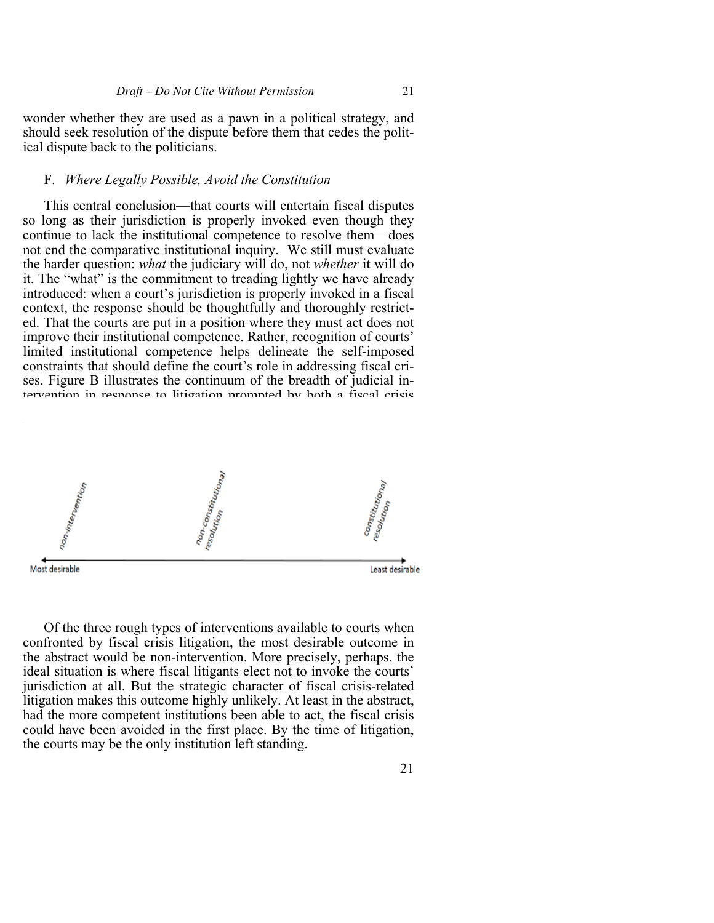wonder whether they are used as a pawn in a political strategy, and should seek resolution of the dispute before them that cedes the political dispute back to the politicians.

## F. *Where Legally Possible, Avoid the Constitution*

This central conclusion—that courts will entertain fiscal disputes so long as their jurisdiction is properly invoked even though they continue to lack the institutional competence to resolve them—does not end the comparative institutional inquiry. We still must evaluate the harder question: *what* the judiciary will do, not *whether* it will do it. The "what" is the commitment to treading lightly we have already introduced: when a court's jurisdiction is properly invoked in a fiscal context, the response should be thoughtfully and thoroughly restricted. That the courts are put in a position where they must act does not improve their institutional competence. Rather, recognition of courts' limited institutional competence helps delineate the self-imposed constraints that should define the court's role in addressing fiscal crises. Figure B illustrates the continuum of the breadth of judicial intervention in response to litigation prompted by both a fiscal crisis



Of the three rough types of interventions available to courts when confronted by fiscal crisis litigation, the most desirable outcome in the abstract would be non-intervention. More precisely, perhaps, the ideal situation is where fiscal litigants elect not to invoke the courts' jurisdiction at all. But the strategic character of fiscal crisis-related litigation makes this outcome highly unlikely. At least in the abstract, had the more competent institutions been able to act, the fiscal crisis could have been avoided in the first place. By the time of litigation, the courts may be the only institution left standing.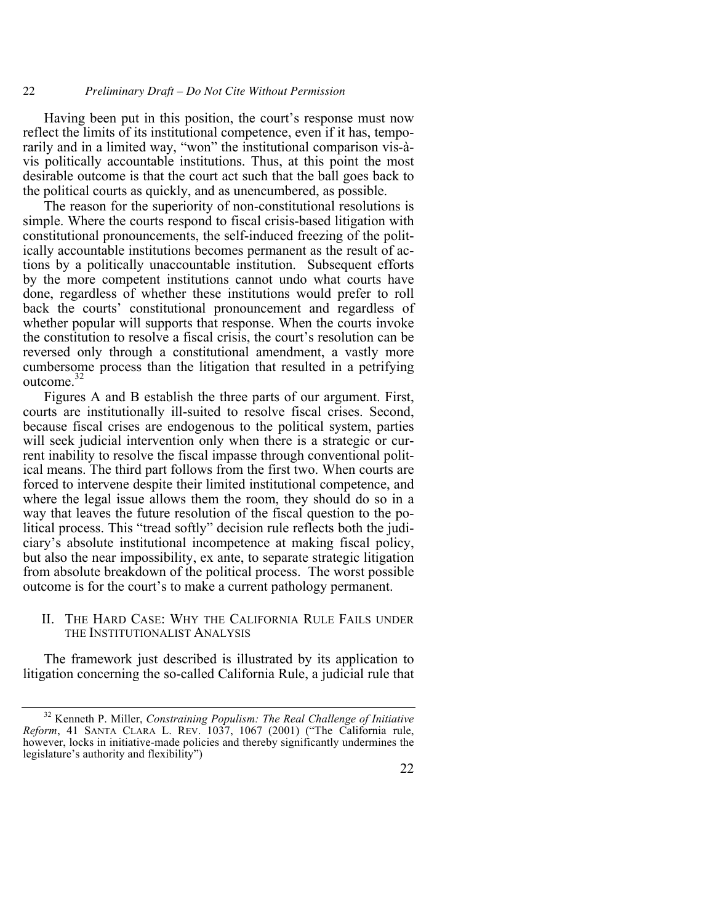22 *Preliminary Draft – Do Not Cite Without Permission*

Having been put in this position, the court's response must now reflect the limits of its institutional competence, even if it has, temporarily and in a limited way, "won" the institutional comparison vis-àvis politically accountable institutions. Thus, at this point the most desirable outcome is that the court act such that the ball goes back to the political courts as quickly, and as unencumbered, as possible.

The reason for the superiority of non-constitutional resolutions is simple. Where the courts respond to fiscal crisis-based litigation with constitutional pronouncements, the self-induced freezing of the politically accountable institutions becomes permanent as the result of actions by a politically unaccountable institution. Subsequent efforts by the more competent institutions cannot undo what courts have done, regardless of whether these institutions would prefer to roll back the courts' constitutional pronouncement and regardless of whether popular will supports that response. When the courts invoke the constitution to resolve a fiscal crisis, the court's resolution can be reversed only through a constitutional amendment, a vastly more cumbersome process than the litigation that resulted in a petrifying outcome. 32

Figures A and B establish the three parts of our argument. First, courts are institutionally ill-suited to resolve fiscal crises. Second, because fiscal crises are endogenous to the political system, parties will seek judicial intervention only when there is a strategic or current inability to resolve the fiscal impasse through conventional political means. The third part follows from the first two. When courts are forced to intervene despite their limited institutional competence, and where the legal issue allows them the room, they should do so in a way that leaves the future resolution of the fiscal question to the political process. This "tread softly" decision rule reflects both the judiciary's absolute institutional incompetence at making fiscal policy, but also the near impossibility, ex ante, to separate strategic litigation from absolute breakdown of the political process. The worst possible outcome is for the court's to make a current pathology permanent.

II. THE HARD CASE: WHY THE CALIFORNIA RULE FAILS UNDER THE INSTITUTIONALIST ANALYSIS

The framework just described is illustrated by its application to litigation concerning the so-called California Rule, a judicial rule that

<sup>32</sup> Kenneth P. Miller, *Constraining Populism: The Real Challenge of Initiative Reform*, 41 SANTA CLARA L. REV. 1037, 1067 (2001) ("The California rule, however, locks in initiative-made policies and thereby significantly undermines the legislature's authority and flexibility")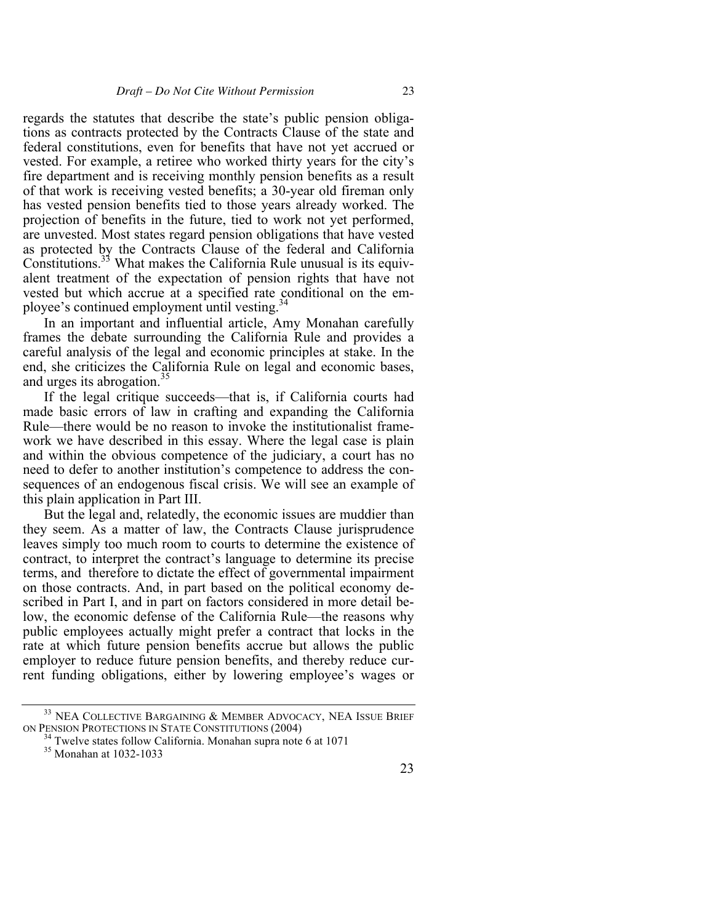regards the statutes that describe the state's public pension obligations as contracts protected by the Contracts Clause of the state and federal constitutions, even for benefits that have not yet accrued or vested. For example, a retiree who worked thirty years for the city's fire department and is receiving monthly pension benefits as a result of that work is receiving vested benefits; a 30-year old fireman only has vested pension benefits tied to those years already worked. The projection of benefits in the future, tied to work not yet performed, are unvested. Most states regard pension obligations that have vested as protected by the Contracts Clause of the federal and California Constitutions.<sup>33</sup> What makes the California Rule unusual is its equivalent treatment of the expectation of pension rights that have not vested but which accrue at a specified rate conditional on the employee's continued employment until vesting.<sup>34</sup>

In an important and influential article, Amy Monahan carefully frames the debate surrounding the California Rule and provides a careful analysis of the legal and economic principles at stake. In the end, she criticizes the California Rule on legal and economic bases, and urges its abrogation.<sup>35</sup>

If the legal critique succeeds—that is, if California courts had made basic errors of law in crafting and expanding the California Rule—there would be no reason to invoke the institutionalist framework we have described in this essay. Where the legal case is plain and within the obvious competence of the judiciary, a court has no need to defer to another institution's competence to address the consequences of an endogenous fiscal crisis. We will see an example of this plain application in Part III.

But the legal and, relatedly, the economic issues are muddier than they seem. As a matter of law, the Contracts Clause jurisprudence leaves simply too much room to courts to determine the existence of contract, to interpret the contract's language to determine its precise terms, and therefore to dictate the effect of governmental impairment on those contracts. And, in part based on the political economy described in Part I, and in part on factors considered in more detail below, the economic defense of the California Rule—the reasons why public employees actually might prefer a contract that locks in the rate at which future pension benefits accrue but allows the public employer to reduce future pension benefits, and thereby reduce current funding obligations, either by lowering employee's wages or

 $^{33}$  NEA COLLECTIVE BARGAINING  $\&$  Member Advocacy, NEA Issue Brief on Pension Protections in State Constitutions (2004)

<sup>&</sup>lt;sup>34</sup> Twelve states follow California. Monahan supra note 6 at 1071 <sup>35</sup> Monahan at 1032-1033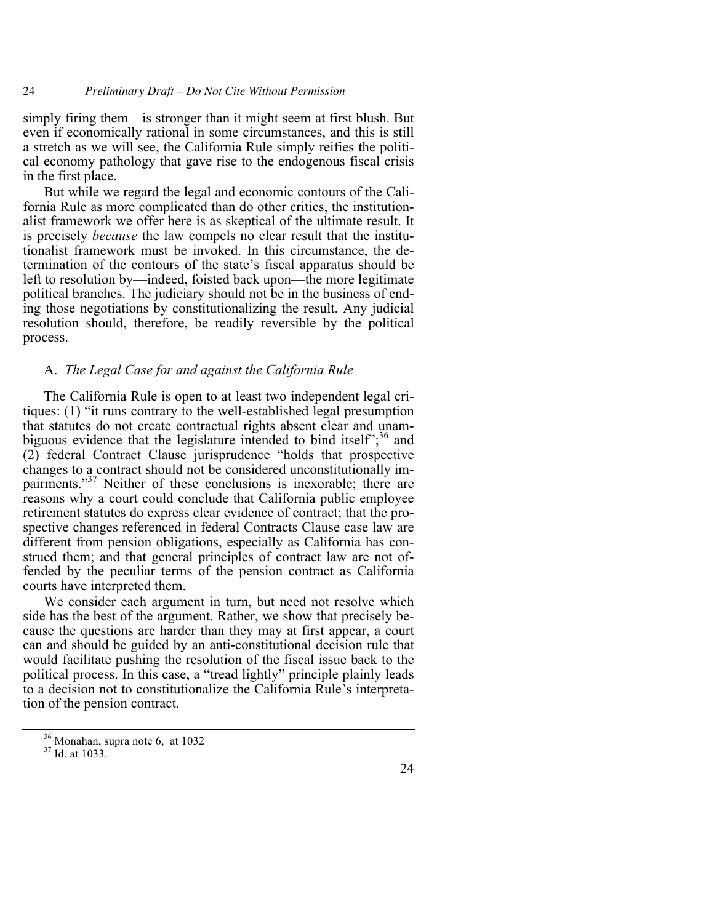simply firing them—is stronger than it might seem at first blush. But even if economically rational in some circumstances, and this is still a stretch as we will see, the California Rule simply reifies the political economy pathology that gave rise to the endogenous fiscal crisis in the first place.

But while we regard the legal and economic contours of the California Rule as more complicated than do other critics, the institutionalist framework we offer here is as skeptical of the ultimate result. It is precisely *because* the law compels no clear result that the institutionalist framework must be invoked. In this circumstance, the determination of the contours of the state's fiscal apparatus should be left to resolution by—indeed, foisted back upon—the more legitimate political branches. The judiciary should not be in the business of ending those negotiations by constitutionalizing the result. Any judicial resolution should, therefore, be readily reversible by the political process.

# A. *The Legal Case for and against the California Rule*

The California Rule is open to at least two independent legal critiques: (1) "it runs contrary to the well-established legal presumption that statutes do not create contractual rights absent clear and unambiguous evidence that the legislature intended to bind itself"; $36$  and (2) federal Contract Clause jurisprudence "holds that prospective changes to a contract should not be considered unconstitutionally impairments."<sup>37</sup> Neither of these conclusions is inexorable; there are reasons why a court could conclude that California public employee retirement statutes do express clear evidence of contract; that the prospective changes referenced in federal Contracts Clause case law are different from pension obligations, especially as California has construed them; and that general principles of contract law are not offended by the peculiar terms of the pension contract as California courts have interpreted them.

We consider each argument in turn, but need not resolve which side has the best of the argument. Rather, we show that precisely because the questions are harder than they may at first appear, a court can and should be guided by an anti-constitutional decision rule that would facilitate pushing the resolution of the fiscal issue back to the political process. In this case, a "tread lightly" principle plainly leads to a decision not to constitutionalize the California Rule's interpretation of the pension contract.

 $\frac{36}{37}$  Monahan, supra note 6, at 1032<br> $\frac{37}{10}$  Id. at 1033.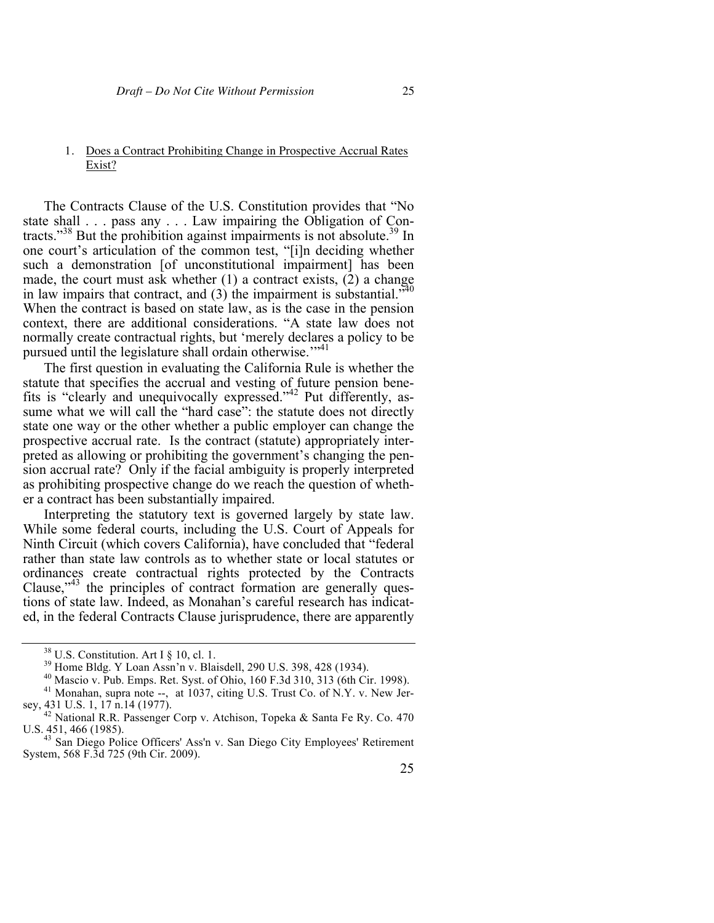#### 1. Does a Contract Prohibiting Change in Prospective Accrual Rates Exist?

The Contracts Clause of the U.S. Constitution provides that "No state shall . . . pass any . . . Law impairing the Obligation of Contracts."<sup>38</sup> But the prohibition against impairments is not absolute.<sup>39</sup> In one court's articulation of the common test, "[i]n deciding whether such a demonstration [of unconstitutional impairment] has been made, the court must ask whether (1) a contract exists, (2) a change in law impairs that contract, and  $(3)$  the impairment is substantial.<sup>740</sup> When the contract is based on state law, as is the case in the pension context, there are additional considerations. "A state law does not normally create contractual rights, but 'merely declares a policy to be pursued until the legislature shall ordain otherwise."<sup>41</sup>

The first question in evaluating the California Rule is whether the statute that specifies the accrual and vesting of future pension benefits is "clearly and unequivocally expressed."42 Put differently, assume what we will call the "hard case": the statute does not directly state one way or the other whether a public employer can change the prospective accrual rate. Is the contract (statute) appropriately interpreted as allowing or prohibiting the government's changing the pension accrual rate? Only if the facial ambiguity is properly interpreted as prohibiting prospective change do we reach the question of whether a contract has been substantially impaired.

Interpreting the statutory text is governed largely by state law. While some federal courts, including the U.S. Court of Appeals for Ninth Circuit (which covers California), have concluded that "federal rather than state law controls as to whether state or local statutes or ordinances create contractual rights protected by the Contracts Clause, $^{43}$  the principles of contract formation are generally questions of state law. Indeed, as Monahan's careful research has indicated, in the federal Contracts Clause jurisprudence, there are apparently

<sup>&</sup>lt;sup>38</sup> U.S. Constitution. Art I § 10, cl. 1.<br><sup>39</sup> Home Bldg. Y Loan Assn'n v. Blaisdell, 290 U.S. 398, 428 (1934).<br><sup>40</sup> Mascio v. Pub. Emps. Ret. Syst. of Ohio, 160 F.3d 310, 313 (6th Cir. 1998).<br><sup>41</sup> Monahan, supra note --

sey, 431 U.S. 1, 17 n.14 (1977).<br><sup>42</sup> National R.R. Passenger Corp v. Atchison, Topeka & Santa Fe Ry. Co. 470<br>U.S. 451, 466 (1985).<br><sup>43</sup> San Diego Police Officers' Ass'n v. San Diego City Employees' Petirement

San Diego Police Officers' Ass'n v. San Diego City Employees' Retirement System, 568 F.3d 725 (9th Cir. 2009).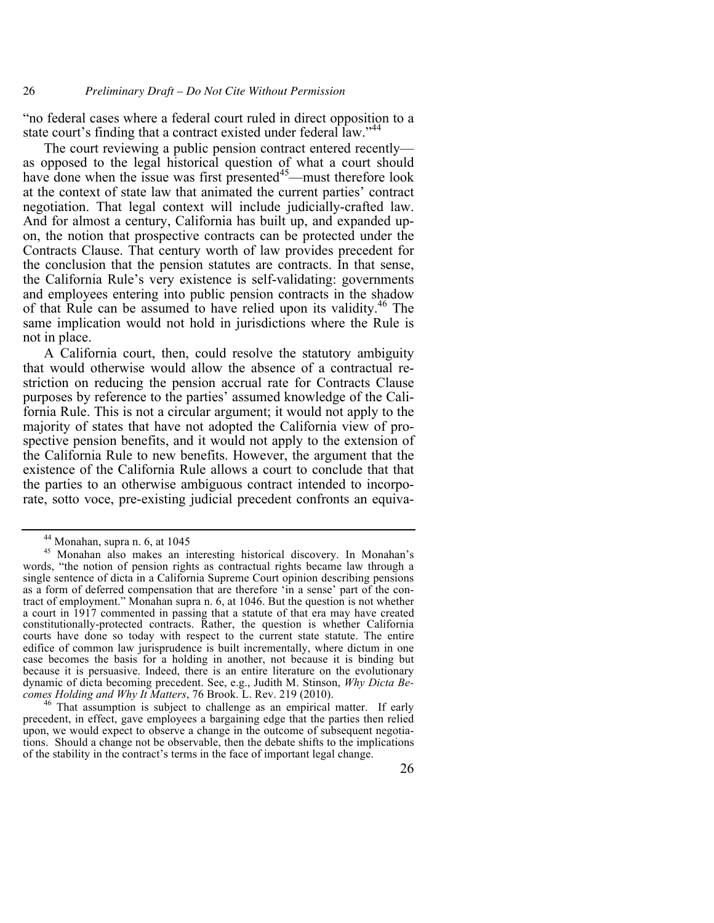"no federal cases where a federal court ruled in direct opposition to a state court's finding that a contract existed under federal law."<sup>44</sup>

The court reviewing a public pension contract entered recently as opposed to the legal historical question of what a court should have done when the issue was first presented $45$ —must therefore look at the context of state law that animated the current parties' contract negotiation. That legal context will include judicially-crafted law. And for almost a century, California has built up, and expanded upon, the notion that prospective contracts can be protected under the Contracts Clause. That century worth of law provides precedent for the conclusion that the pension statutes are contracts. In that sense, the California Rule's very existence is self-validating: governments and employees entering into public pension contracts in the shadow of that Rule can be assumed to have relied upon its validity.<sup>46</sup> The same implication would not hold in jurisdictions where the Rule is not in place.

A California court, then, could resolve the statutory ambiguity that would otherwise would allow the absence of a contractual restriction on reducing the pension accrual rate for Contracts Clause purposes by reference to the parties' assumed knowledge of the California Rule. This is not a circular argument; it would not apply to the majority of states that have not adopted the California view of prospective pension benefits, and it would not apply to the extension of the California Rule to new benefits. However, the argument that the existence of the California Rule allows a court to conclude that that the parties to an otherwise ambiguous contract intended to incorporate, sotto voce, pre-existing judicial precedent confronts an equiva-

<sup>44</sup> Monahan, supra n. 6, at 1045

<sup>45</sup> Monahan also makes an interesting historical discovery. In Monahan's words, "the notion of pension rights as contractual rights became law through a single sentence of dicta in a California Supreme Court opinion describing pensions as a form of deferred compensation that are therefore 'in a sense' part of the contract of employment." Monahan supra n. 6, at 1046. But the question is not whether a court in 1917 commented in passing that a statute of that era may have created constitutionally-protected contracts. Rather, the question is whether California courts have done so today with respect to the current state statute. The entire edifice of common law jurisprudence is built incrementally, where dictum in one case becomes the basis for a holding in another, not because it is binding but because it is persuasive. Indeed, there is an entire literature on the evolutionary dynamic of dicta becoming precedent. See, e.g., Judith M. Stinson, *Why Dicta Be-comes Holding and Why It Matters*, 76 Brook. L. Rev. 219 (2010).

<sup>&</sup>lt;sup>46</sup> That assumption is subject to challenge as an empirical matter. If early precedent, in effect, gave employees a bargaining edge that the parties then relied upon, we would expect to observe a change in the outcome of subsequent negotiations. Should a change not be observable, then the debate shifts to the implications of the stability in the contract's terms in the face of important legal change.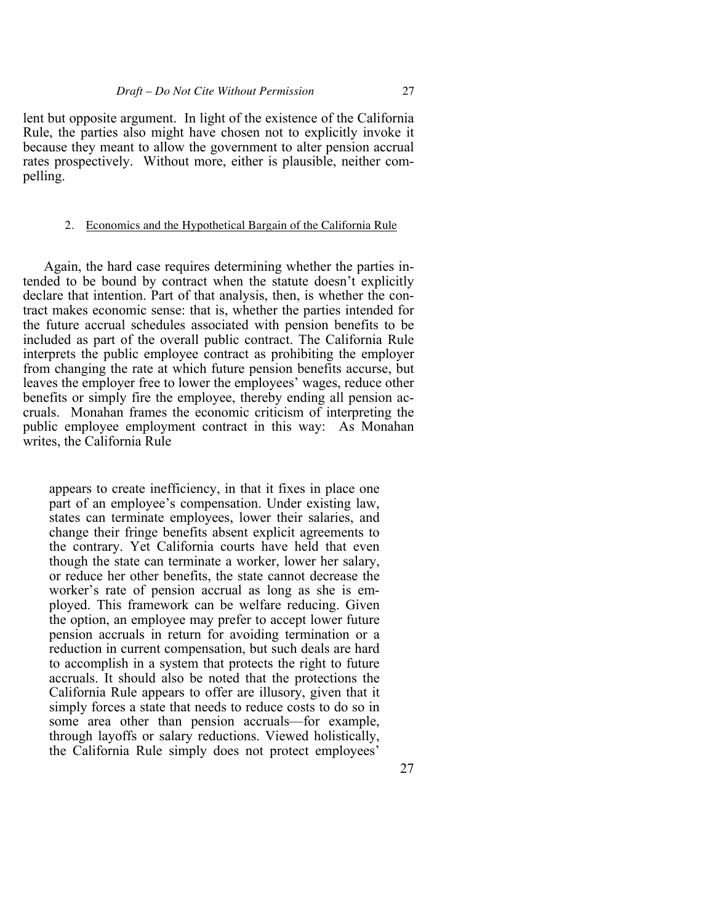lent but opposite argument. In light of the existence of the California Rule, the parties also might have chosen not to explicitly invoke it because they meant to allow the government to alter pension accrual rates prospectively. Without more, either is plausible, neither compelling.

#### 2. Economics and the Hypothetical Bargain of the California Rule

Again, the hard case requires determining whether the parties intended to be bound by contract when the statute doesn't explicitly declare that intention. Part of that analysis, then, is whether the contract makes economic sense: that is, whether the parties intended for the future accrual schedules associated with pension benefits to be included as part of the overall public contract. The California Rule interprets the public employee contract as prohibiting the employer from changing the rate at which future pension benefits accurse, but leaves the employer free to lower the employees' wages, reduce other benefits or simply fire the employee, thereby ending all pension accruals. Monahan frames the economic criticism of interpreting the public employee employment contract in this way: As Monahan writes, the California Rule

appears to create inefficiency, in that it fixes in place one part of an employee's compensation. Under existing law, states can terminate employees, lower their salaries, and change their fringe benefits absent explicit agreements to the contrary. Yet California courts have held that even though the state can terminate a worker, lower her salary, or reduce her other benefits, the state cannot decrease the worker's rate of pension accrual as long as she is employed. This framework can be welfare reducing. Given the option, an employee may prefer to accept lower future pension accruals in return for avoiding termination or a reduction in current compensation, but such deals are hard to accomplish in a system that protects the right to future accruals. It should also be noted that the protections the California Rule appears to offer are illusory, given that it simply forces a state that needs to reduce costs to do so in some area other than pension accruals—for example, through layoffs or salary reductions. Viewed holistically, the California Rule simply does not protect employees'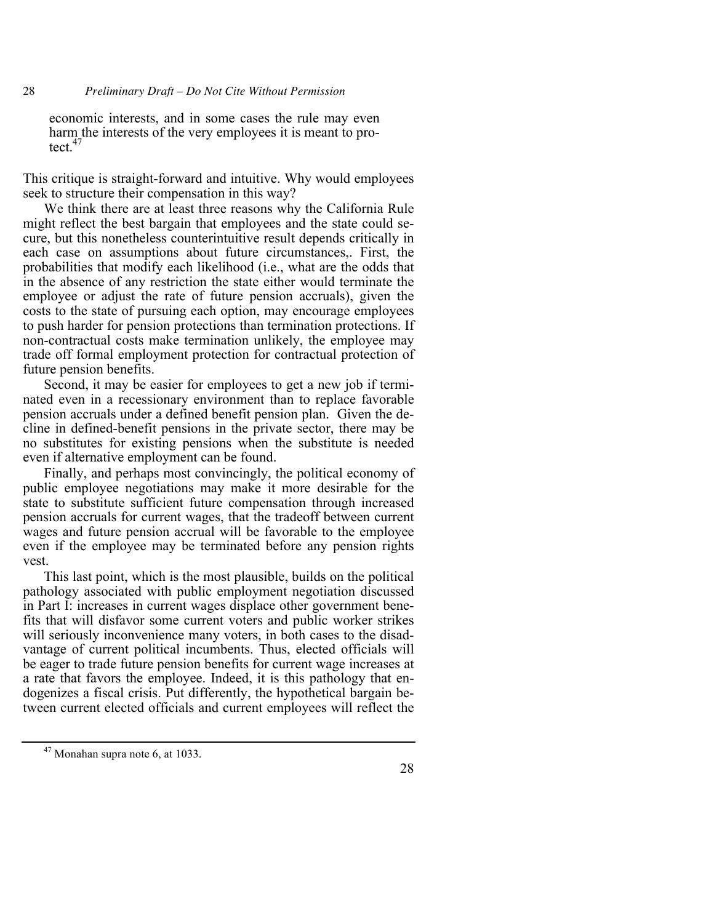economic interests, and in some cases the rule may even harm the interests of the very employees it is meant to protect. $47$ 

This critique is straight-forward and intuitive. Why would employees seek to structure their compensation in this way?

We think there are at least three reasons why the California Rule might reflect the best bargain that employees and the state could secure, but this nonetheless counterintuitive result depends critically in each case on assumptions about future circumstances,. First, the probabilities that modify each likelihood (i.e., what are the odds that in the absence of any restriction the state either would terminate the employee or adjust the rate of future pension accruals), given the costs to the state of pursuing each option, may encourage employees to push harder for pension protections than termination protections. If non-contractual costs make termination unlikely, the employee may trade off formal employment protection for contractual protection of future pension benefits.

Second, it may be easier for employees to get a new job if terminated even in a recessionary environment than to replace favorable pension accruals under a defined benefit pension plan. Given the decline in defined-benefit pensions in the private sector, there may be no substitutes for existing pensions when the substitute is needed even if alternative employment can be found.

Finally, and perhaps most convincingly, the political economy of public employee negotiations may make it more desirable for the state to substitute sufficient future compensation through increased pension accruals for current wages, that the tradeoff between current wages and future pension accrual will be favorable to the employee even if the employee may be terminated before any pension rights vest.

This last point, which is the most plausible, builds on the political pathology associated with public employment negotiation discussed in Part I: increases in current wages displace other government benefits that will disfavor some current voters and public worker strikes will seriously inconvenience many voters, in both cases to the disadvantage of current political incumbents. Thus, elected officials will be eager to trade future pension benefits for current wage increases at a rate that favors the employee. Indeed, it is this pathology that endogenizes a fiscal crisis. Put differently, the hypothetical bargain between current elected officials and current employees will reflect the

 $47$  Monahan supra note 6, at 1033.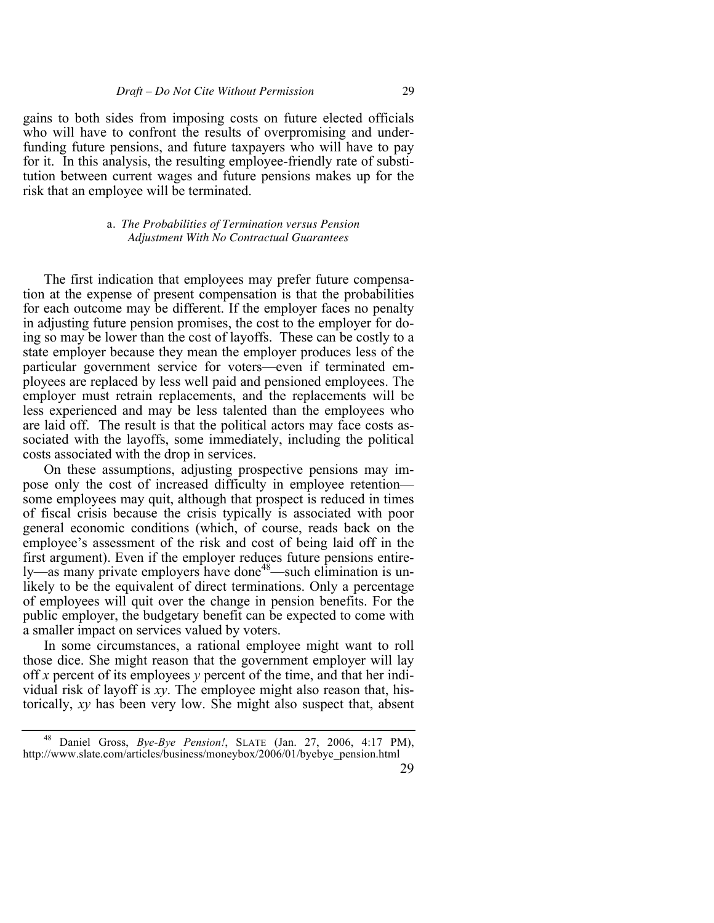gains to both sides from imposing costs on future elected officials who will have to confront the results of overpromising and underfunding future pensions, and future taxpayers who will have to pay for it. In this analysis, the resulting employee-friendly rate of substitution between current wages and future pensions makes up for the risk that an employee will be terminated.

> a. *The Probabilities of Termination versus Pension Adjustment With No Contractual Guarantees*

The first indication that employees may prefer future compensation at the expense of present compensation is that the probabilities for each outcome may be different. If the employer faces no penalty in adjusting future pension promises, the cost to the employer for doing so may be lower than the cost of layoffs. These can be costly to a state employer because they mean the employer produces less of the particular government service for voters—even if terminated employees are replaced by less well paid and pensioned employees. The employer must retrain replacements, and the replacements will be less experienced and may be less talented than the employees who are laid off. The result is that the political actors may face costs associated with the layoffs, some immediately, including the political costs associated with the drop in services.

On these assumptions, adjusting prospective pensions may impose only the cost of increased difficulty in employee retention some employees may quit, although that prospect is reduced in times of fiscal crisis because the crisis typically is associated with poor general economic conditions (which, of course, reads back on the employee's assessment of the risk and cost of being laid off in the first argument). Even if the employer reduces future pensions entirely—as many private employers have done<sup>48</sup>—such elimination is unlikely to be the equivalent of direct terminations. Only a percentage of employees will quit over the change in pension benefits. For the public employer, the budgetary benefit can be expected to come with a smaller impact on services valued by voters.

In some circumstances, a rational employee might want to roll those dice. She might reason that the government employer will lay off *x* percent of its employees *y* percent of the time, and that her individual risk of layoff is *xy*. The employee might also reason that, historically, *xy* has been very low. She might also suspect that, absent

<sup>48</sup> Daniel Gross, *Bye-Bye Pension!*, SLATE (Jan. 27, 2006, 4:17 PM), http://www.slate.com/articles/business/moneybox/2006/01/byebye\_pension.html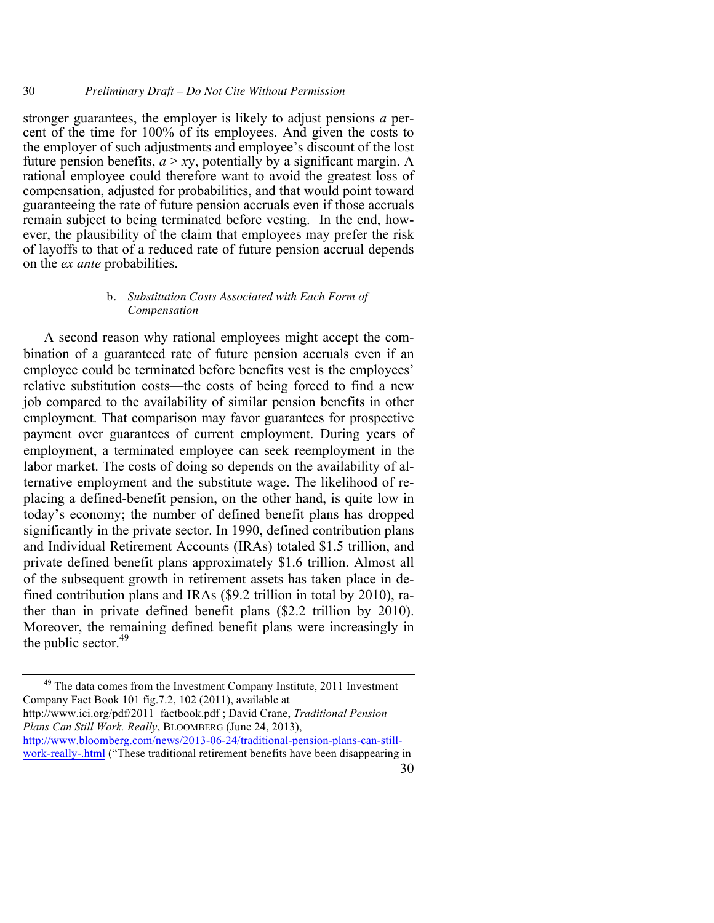stronger guarantees, the employer is likely to adjust pensions *a* percent of the time for 100% of its employees. And given the costs to the employer of such adjustments and employee's discount of the lost future pension benefits,  $a > xy$ , potentially by a significant margin. A rational employee could therefore want to avoid the greatest loss of compensation, adjusted for probabilities, and that would point toward guaranteeing the rate of future pension accruals even if those accruals remain subject to being terminated before vesting. In the end, however, the plausibility of the claim that employees may prefer the risk of layoffs to that of a reduced rate of future pension accrual depends on the *ex ante* probabilities.

#### b. *Substitution Costs Associated with Each Form of Compensation*

A second reason why rational employees might accept the combination of a guaranteed rate of future pension accruals even if an employee could be terminated before benefits vest is the employees' relative substitution costs—the costs of being forced to find a new job compared to the availability of similar pension benefits in other employment. That comparison may favor guarantees for prospective payment over guarantees of current employment. During years of employment, a terminated employee can seek reemployment in the labor market. The costs of doing so depends on the availability of alternative employment and the substitute wage. The likelihood of replacing a defined-benefit pension, on the other hand, is quite low in today's economy; the number of defined benefit plans has dropped significantly in the private sector. In 1990, defined contribution plans and Individual Retirement Accounts (IRAs) totaled \$1.5 trillion, and private defined benefit plans approximately \$1.6 trillion. Almost all of the subsequent growth in retirement assets has taken place in defined contribution plans and IRAs (\$9.2 trillion in total by 2010), rather than in private defined benefit plans (\$2.2 trillion by 2010). Moreover, the remaining defined benefit plans were increasingly in the public sector.<sup>49</sup>

<sup>49</sup> The data comes from the Investment Company Institute, 2011 Investment Company Fact Book 101 fig.7.2, 102 (2011), available at http://www.ici.org/pdf/2011\_factbook.pdf ; David Crane, *Traditional Pension Plans Can Still Work. Really*, BLOOMBERG (June 24, 2013), http://www.bloomberg.com/news/2013-06-24/traditional-pension-plans-can-still-

30 work-really-.html ("These traditional retirement benefits have been disappearing in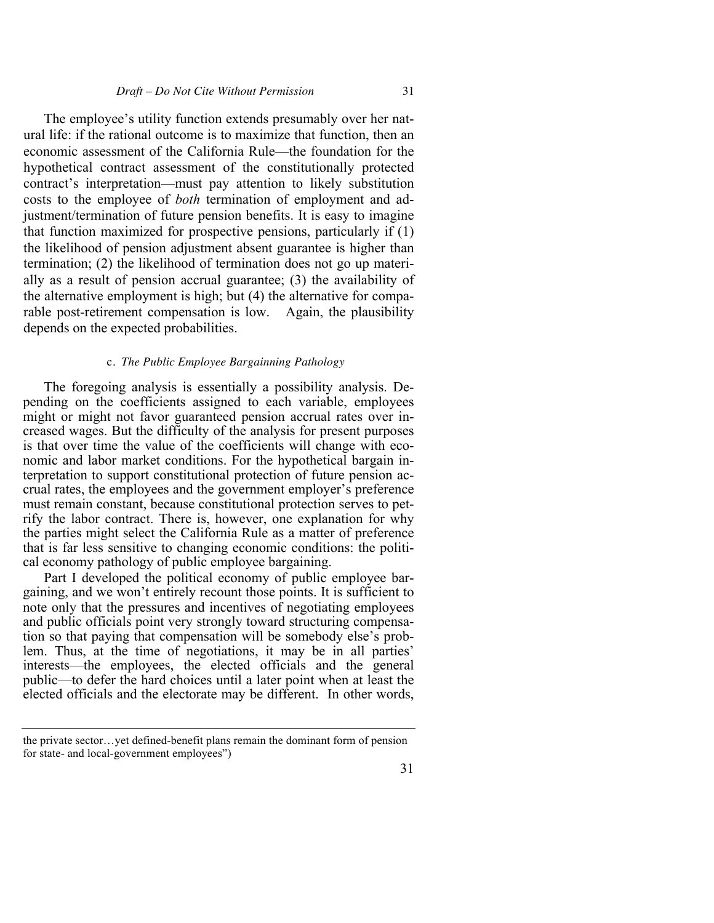The employee's utility function extends presumably over her natural life: if the rational outcome is to maximize that function, then an economic assessment of the California Rule—the foundation for the hypothetical contract assessment of the constitutionally protected contract's interpretation—must pay attention to likely substitution costs to the employee of *both* termination of employment and adjustment/termination of future pension benefits. It is easy to imagine that function maximized for prospective pensions, particularly if (1) the likelihood of pension adjustment absent guarantee is higher than termination; (2) the likelihood of termination does not go up materially as a result of pension accrual guarantee; (3) the availability of the alternative employment is high; but (4) the alternative for comparable post-retirement compensation is low. Again, the plausibility depends on the expected probabilities.

#### c. *The Public Employee Bargainning Pathology*

The foregoing analysis is essentially a possibility analysis. Depending on the coefficients assigned to each variable, employees might or might not favor guaranteed pension accrual rates over increased wages. But the difficulty of the analysis for present purposes is that over time the value of the coefficients will change with economic and labor market conditions. For the hypothetical bargain interpretation to support constitutional protection of future pension accrual rates, the employees and the government employer's preference must remain constant, because constitutional protection serves to petrify the labor contract. There is, however, one explanation for why the parties might select the California Rule as a matter of preference that is far less sensitive to changing economic conditions: the political economy pathology of public employee bargaining.

Part I developed the political economy of public employee bargaining, and we won't entirely recount those points. It is sufficient to note only that the pressures and incentives of negotiating employees and public officials point very strongly toward structuring compensation so that paying that compensation will be somebody else's problem. Thus, at the time of negotiations, it may be in all parties' interests—the employees, the elected officials and the general public—to defer the hard choices until a later point when at least the elected officials and the electorate may be different. In other words,

the private sector…yet defined-benefit plans remain the dominant form of pension for state- and local-government employees")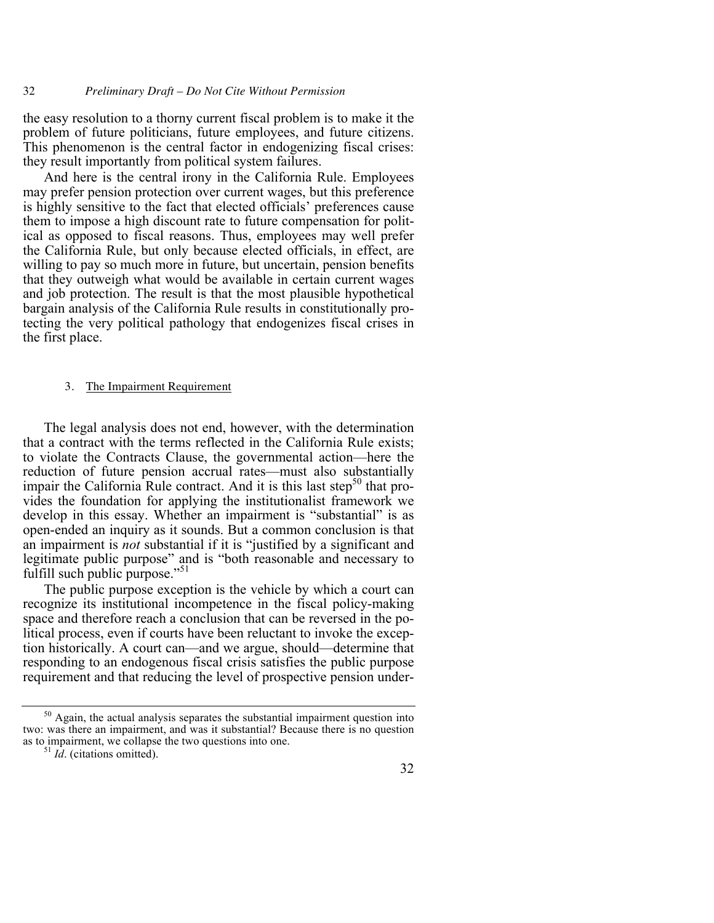32 *Preliminary Draft – Do Not Cite Without Permission*

the easy resolution to a thorny current fiscal problem is to make it the problem of future politicians, future employees, and future citizens. This phenomenon is the central factor in endogenizing fiscal crises: they result importantly from political system failures.

And here is the central irony in the California Rule. Employees may prefer pension protection over current wages, but this preference is highly sensitive to the fact that elected officials' preferences cause them to impose a high discount rate to future compensation for political as opposed to fiscal reasons. Thus, employees may well prefer the California Rule, but only because elected officials, in effect, are willing to pay so much more in future, but uncertain, pension benefits that they outweigh what would be available in certain current wages and job protection. The result is that the most plausible hypothetical bargain analysis of the California Rule results in constitutionally protecting the very political pathology that endogenizes fiscal crises in the first place.

#### 3. The Impairment Requirement

The legal analysis does not end, however, with the determination that a contract with the terms reflected in the California Rule exists; to violate the Contracts Clause, the governmental action—here the reduction of future pension accrual rates—must also substantially impair the California Rule contract. And it is this last step $50$  that provides the foundation for applying the institutionalist framework we develop in this essay. Whether an impairment is "substantial" is as open-ended an inquiry as it sounds. But a common conclusion is that an impairment is *not* substantial if it is "justified by a significant and legitimate public purpose" and is "both reasonable and necessary to fulfill such public purpose."<sup>51</sup>

The public purpose exception is the vehicle by which a court can recognize its institutional incompetence in the fiscal policy-making space and therefore reach a conclusion that can be reversed in the political process, even if courts have been reluctant to invoke the exception historically. A court can—and we argue, should—determine that responding to an endogenous fiscal crisis satisfies the public purpose requirement and that reducing the level of prospective pension under-

 $50$  Again, the actual analysis separates the substantial impairment question into two: was there an impairment, and was it substantial? Because there is no question as to impairment, we collapse the two questions into one. 51 *Id*. (citations omitted).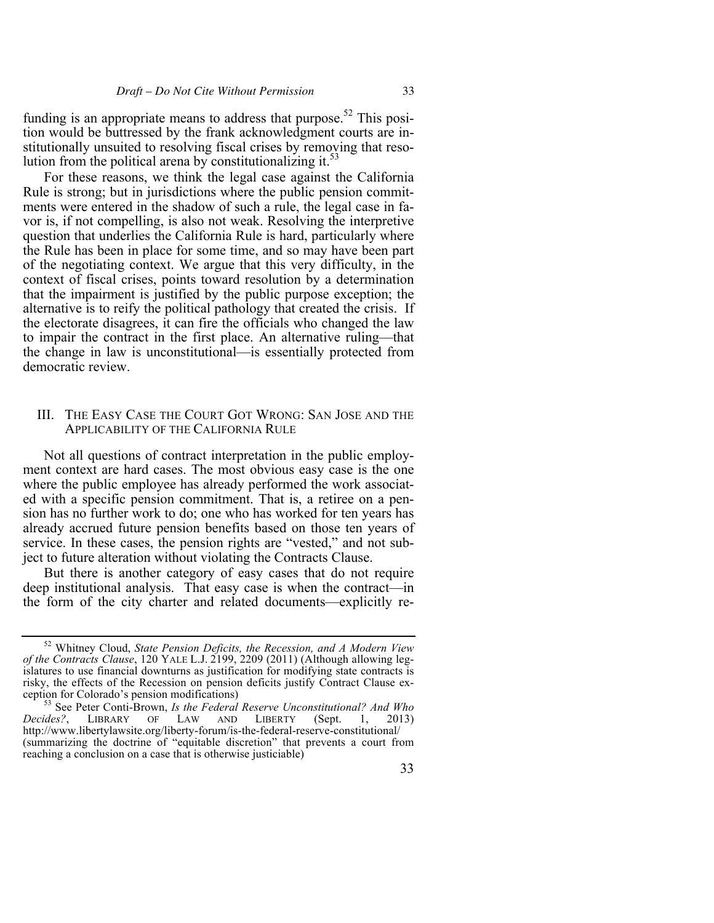funding is an appropriate means to address that purpose.<sup>52</sup> This position would be buttressed by the frank acknowledgment courts are institutionally unsuited to resolving fiscal crises by removing that resolution from the political arena by constitutionalizing it. $53$ 

For these reasons, we think the legal case against the California Rule is strong; but in jurisdictions where the public pension commitments were entered in the shadow of such a rule, the legal case in favor is, if not compelling, is also not weak. Resolving the interpretive question that underlies the California Rule is hard, particularly where the Rule has been in place for some time, and so may have been part of the negotiating context. We argue that this very difficulty, in the context of fiscal crises, points toward resolution by a determination that the impairment is justified by the public purpose exception; the alternative is to reify the political pathology that created the crisis. If the electorate disagrees, it can fire the officials who changed the law to impair the contract in the first place. An alternative ruling—that the change in law is unconstitutional—is essentially protected from democratic review.

## III. THE EASY CASE THE COURT GOT WRONG: SAN JOSE AND THE APPLICABILITY OF THE CALIFORNIA RULE

Not all questions of contract interpretation in the public employment context are hard cases. The most obvious easy case is the one where the public employee has already performed the work associated with a specific pension commitment. That is, a retiree on a pension has no further work to do; one who has worked for ten years has already accrued future pension benefits based on those ten years of service. In these cases, the pension rights are "vested," and not subject to future alteration without violating the Contracts Clause.

But there is another category of easy cases that do not require deep institutional analysis. That easy case is when the contract—in the form of the city charter and related documents—explicitly re-

<sup>52</sup> Whitney Cloud, *State Pension Deficits, the Recession, and A Modern View of the Contracts Clause*, 120 YALE L.J. 2199, 2209 (2011) (Although allowing legislatures to use financial downturns as justification for modifying state contracts is risky, the effects of the Recession on pension deficits justify Contract Clause exception for Colorado's pension modifications) <sup>53</sup> See Peter Conti-Brown, *Is the Federal Reserve Unconstitutional? And Who* 

*Decides?*, LIBRARY OF LAW AND LIBERTY (Sept. 1, 2013) http://www.libertylawsite.org/liberty-forum/is-the-federal-reserve-constitutional/ (summarizing the doctrine of "equitable discretion" that prevents a court from reaching a conclusion on a case that is otherwise justiciable)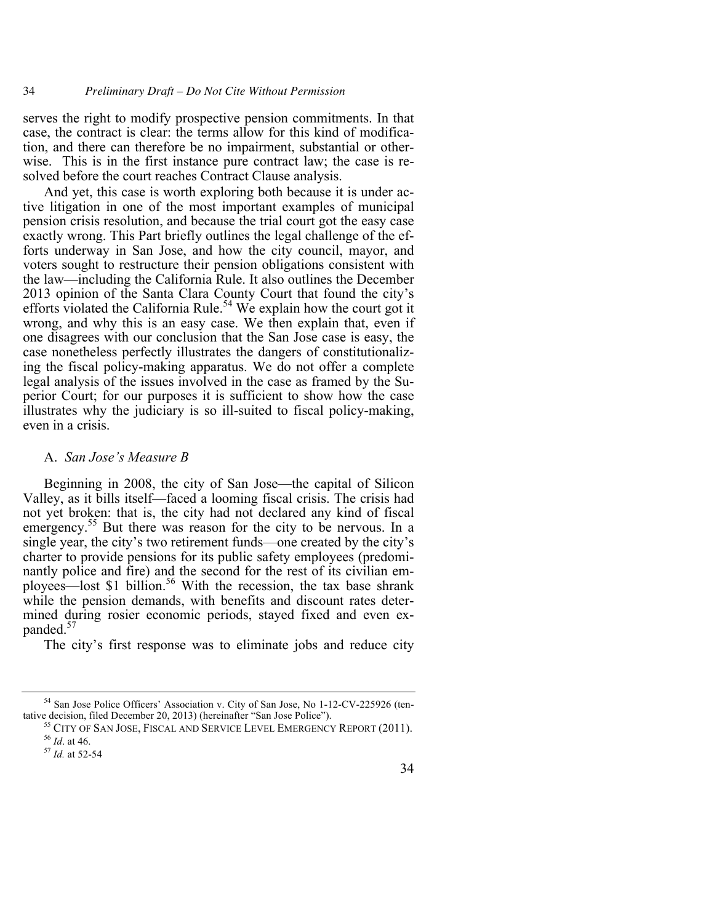serves the right to modify prospective pension commitments. In that case, the contract is clear: the terms allow for this kind of modification, and there can therefore be no impairment, substantial or otherwise. This is in the first instance pure contract law; the case is resolved before the court reaches Contract Clause analysis.

And yet, this case is worth exploring both because it is under active litigation in one of the most important examples of municipal pension crisis resolution, and because the trial court got the easy case exactly wrong. This Part briefly outlines the legal challenge of the efforts underway in San Jose, and how the city council, mayor, and voters sought to restructure their pension obligations consistent with the law—including the California Rule. It also outlines the December 2013 opinion of the Santa Clara County Court that found the city's efforts violated the California Rule.<sup>54</sup> We explain how the court got it wrong, and why this is an easy case. We then explain that, even if one disagrees with our conclusion that the San Jose case is easy, the case nonetheless perfectly illustrates the dangers of constitutionalizing the fiscal policy-making apparatus. We do not offer a complete legal analysis of the issues involved in the case as framed by the Superior Court; for our purposes it is sufficient to show how the case illustrates why the judiciary is so ill-suited to fiscal policy-making, even in a crisis.

# A. *San Jose's Measure B*

Beginning in 2008, the city of San Jose—the capital of Silicon Valley, as it bills itself—faced a looming fiscal crisis. The crisis had not yet broken: that is, the city had not declared any kind of fiscal emergency.<sup>55</sup> But there was reason for the city to be nervous. In a single year, the city's two retirement funds—one created by the city's charter to provide pensions for its public safety employees (predominantly police and fire) and the second for the rest of its civilian employees—lost \$1 billion.<sup>56</sup> With the recession, the tax base shrank while the pension demands, with benefits and discount rates determined during rosier economic periods, stayed fixed and even expanded.<sup>5</sup>

The city's first response was to eliminate jobs and reduce city

 $<sup>54</sup>$  San Jose Police Officers' Association v. City of San Jose, No 1-12-CV-225926 (tentative decision, filed December 20, 2013) (hereinafter "San Jose Police").</sup>

<sup>&</sup>lt;sup>55</sup> CITY OF SAN JOSE, FISCAL AND SERVICE LEVEL EMERGENCY REPORT (2011). <sup>56</sup> *Id.* at 46.

<sup>57</sup> *Id.* at 52-54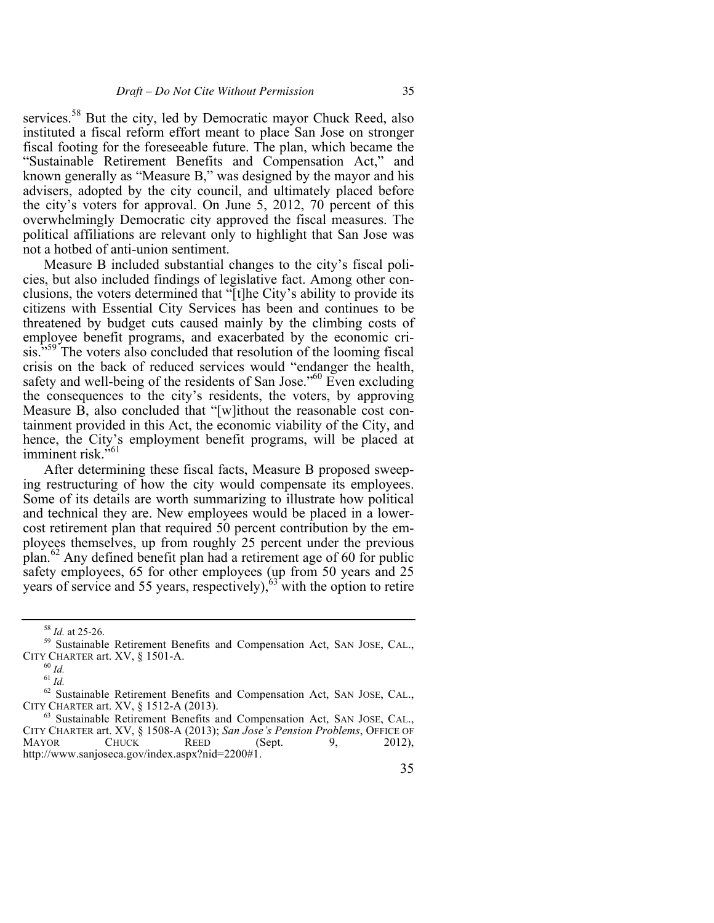services.<sup>58</sup> But the city, led by Democratic mayor Chuck Reed, also instituted a fiscal reform effort meant to place San Jose on stronger fiscal footing for the foreseeable future. The plan, which became the "Sustainable Retirement Benefits and Compensation Act," and known generally as "Measure B," was designed by the mayor and his advisers, adopted by the city council, and ultimately placed before the city's voters for approval. On June 5, 2012, 70 percent of this overwhelmingly Democratic city approved the fiscal measures. The political affiliations are relevant only to highlight that San Jose was not a hotbed of anti-union sentiment.

Measure B included substantial changes to the city's fiscal policies, but also included findings of legislative fact. Among other conclusions, the voters determined that "[t]he City's ability to provide its citizens with Essential City Services has been and continues to be threatened by budget cuts caused mainly by the climbing costs of employee benefit programs, and exacerbated by the economic crisis."<sup>59</sup> The voters also concluded that resolution of the looming fiscal crisis on the back of reduced services would "endanger the health, safety and well-being of the residents of San Jose."<sup>60</sup> Even excluding the consequences to the city's residents, the voters, by approving Measure B, also concluded that "[w]ithout the reasonable cost containment provided in this Act, the economic viability of the City, and hence, the City's employment benefit programs, will be placed at imminent risk."<sup>61</sup>

After determining these fiscal facts, Measure B proposed sweeping restructuring of how the city would compensate its employees. Some of its details are worth summarizing to illustrate how political and technical they are. New employees would be placed in a lowercost retirement plan that required 50 percent contribution by the employees themselves, up from roughly 25 percent under the previous plan.<sup>62</sup> Any defined benefit plan had a retirement age of 60 for public safety employees,  $65$  for other employees ( $\mu$ p from 50 years and 25 years of service and 55 years, respectively), $63$  with the option to retire

<sup>&</sup>lt;sup>58</sup> *Id.* at 25-26.<br><sup>59</sup> Sustainable Retirement Benefits and Compensation Act, SAN JOSE, CAL., CITY CHARTER art. XV, § 1501-A.

 $^{60}$   $\emph{Id}.$ 

 $^{61}$   $\emph{Id.}$ 

<sup>62</sup> Sustainable Retirement Benefits and Compensation Act, SAN JOSE, CAL., CITY CHARTER art. XV, § 1512-A (2013).

<sup>63</sup> Sustainable Retirement Benefits and Compensation Act, SAN JOSE, CAL., CITY CHARTER art. XV, § 1508-A (2013); *San Jose's Pension Problems*, OFFICE OF MAYOR CHUCK REED (Sept. 9, 2012), http://www.sanjoseca.gov/index.aspx?nid=2200#1.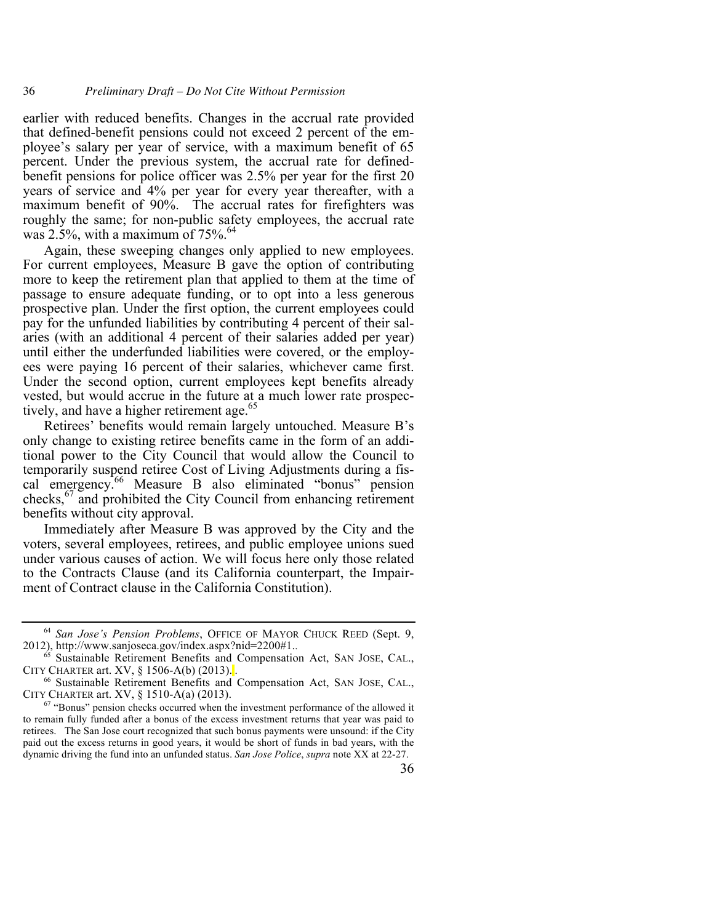earlier with reduced benefits. Changes in the accrual rate provided that defined-benefit pensions could not exceed 2 percent of the employee's salary per year of service, with a maximum benefit of 65 percent. Under the previous system, the accrual rate for definedbenefit pensions for police officer was 2.5% per year for the first 20 years of service and 4% per year for every year thereafter, with a maximum benefit of 90%. The accrual rates for firefighters was roughly the same; for non-public safety employees, the accrual rate was  $2.5\%$ , with a maximum of  $75\%$ .<sup>64</sup>

Again, these sweeping changes only applied to new employees. For current employees, Measure B gave the option of contributing more to keep the retirement plan that applied to them at the time of passage to ensure adequate funding, or to opt into a less generous prospective plan. Under the first option, the current employees could pay for the unfunded liabilities by contributing 4 percent of their salaries (with an additional 4 percent of their salaries added per year) until either the underfunded liabilities were covered, or the employees were paying 16 percent of their salaries, whichever came first. Under the second option, current employees kept benefits already vested, but would accrue in the future at a much lower rate prospectively, and have a higher retirement age.<sup>65</sup>

Retirees' benefits would remain largely untouched. Measure B's only change to existing retiree benefits came in the form of an additional power to the City Council that would allow the Council to temporarily suspend retiree Cost of Living Adjustments during a fiscal emergency.<sup>66</sup> Measure B also eliminated "bonus" pension checks,  $67$  and prohibited the City Council from enhancing retirement benefits without city approval.

Immediately after Measure B was approved by the City and the voters, several employees, retirees, and public employee unions sued under various causes of action. We will focus here only those related to the Contracts Clause (and its California counterpart, the Impairment of Contract clause in the California Constitution).

<sup>64</sup> *San Jose's Pension Problems*, OFFICE OF MAYOR CHUCK REED (Sept. 9, 2012), http://www.sanjoseca.gov/index.aspx?nid=2200#1..

<sup>&</sup>lt;sup>65</sup> Sustainable Retirement Benefits and Compensation Act, SAN JOSE, CAL., CITY CHARTER art. XV, § 1506-A(b) (2013).<sup>1</sup>.

<sup>66</sup> Sustainable Retirement Benefits and Compensation Act, SAN JOSE, CAL., CITY CHARTER art. XV, § 1510-A(a) (2013).

<sup>67</sup> "Bonus" pension checks occurred when the investment performance of the allowed it to remain fully funded after a bonus of the excess investment returns that year was paid to retirees. The San Jose court recognized that such bonus payments were unsound: if the City paid out the excess returns in good years, it would be short of funds in bad years, with the dynamic driving the fund into an unfunded status. *San Jose Police*, *supra* note XX at 22-27.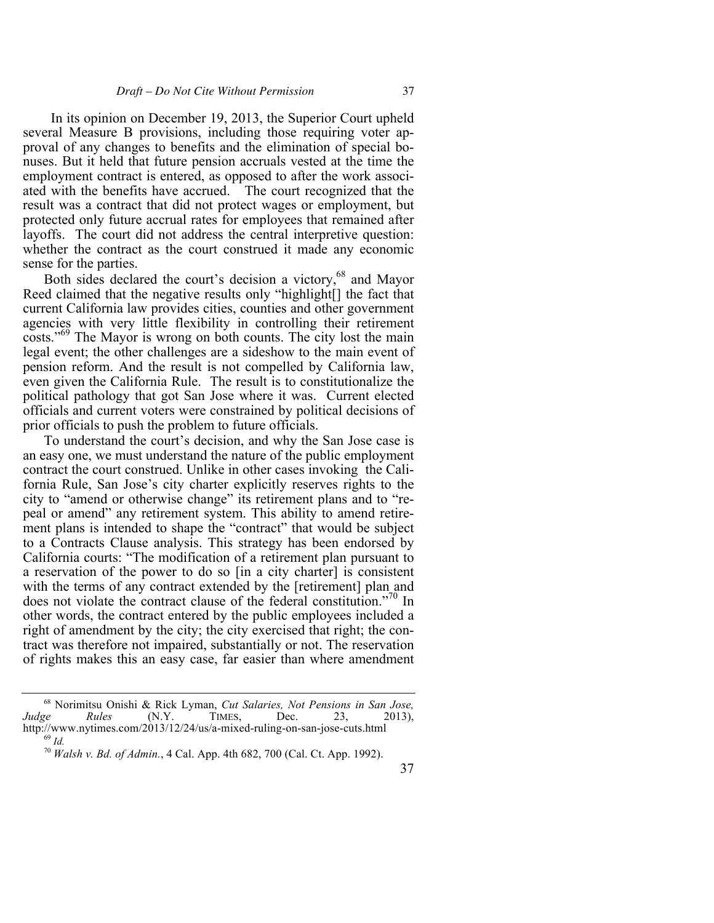In its opinion on December 19, 2013, the Superior Court upheld several Measure B provisions, including those requiring voter approval of any changes to benefits and the elimination of special bonuses. But it held that future pension accruals vested at the time the employment contract is entered, as opposed to after the work associated with the benefits have accrued. The court recognized that the result was a contract that did not protect wages or employment, but protected only future accrual rates for employees that remained after layoffs. The court did not address the central interpretive question: whether the contract as the court construed it made any economic sense for the parties.

Both sides declared the court's decision a victory,<sup>68</sup> and Mayor Reed claimed that the negative results only "highlight[] the fact that current California law provides cities, counties and other government agencies with very little flexibility in controlling their retirement costs."<sup>69</sup> The Mayor is wrong on both counts. The city lost the main legal event; the other challenges are a sideshow to the main event of pension reform. And the result is not compelled by California law, even given the California Rule. The result is to constitutionalize the political pathology that got San Jose where it was. Current elected officials and current voters were constrained by political decisions of prior officials to push the problem to future officials.

To understand the court's decision, and why the San Jose case is an easy one, we must understand the nature of the public employment contract the court construed. Unlike in other cases invoking the California Rule, San Jose's city charter explicitly reserves rights to the city to "amend or otherwise change" its retirement plans and to "repeal or amend" any retirement system. This ability to amend retirement plans is intended to shape the "contract" that would be subject to a Contracts Clause analysis. This strategy has been endorsed by California courts: "The modification of a retirement plan pursuant to a reservation of the power to do so [in a city charter] is consistent with the terms of any contract extended by the [retirement] plan and does not violate the contract clause of the federal constitution."<sup>70</sup> In other words, the contract entered by the public employees included a right of amendment by the city; the city exercised that right; the contract was therefore not impaired, substantially or not. The reservation of rights makes this an easy case, far easier than where amendment

<sup>68</sup> Norimitsu Onishi & Rick Lyman, *Cut Salaries, Not Pensions in San Jose, Judge Rules* (N.Y. TIMES, Dec. 23, 2013), http://www.nytimes.com/2013/12/24/us/a-mixed-ruling-on-san-jose-cuts.html

<sup>69</sup> *Id.*

<sup>70</sup> *Walsh v. Bd. of Admin.*, 4 Cal. App. 4th 682, 700 (Cal. Ct. App. 1992).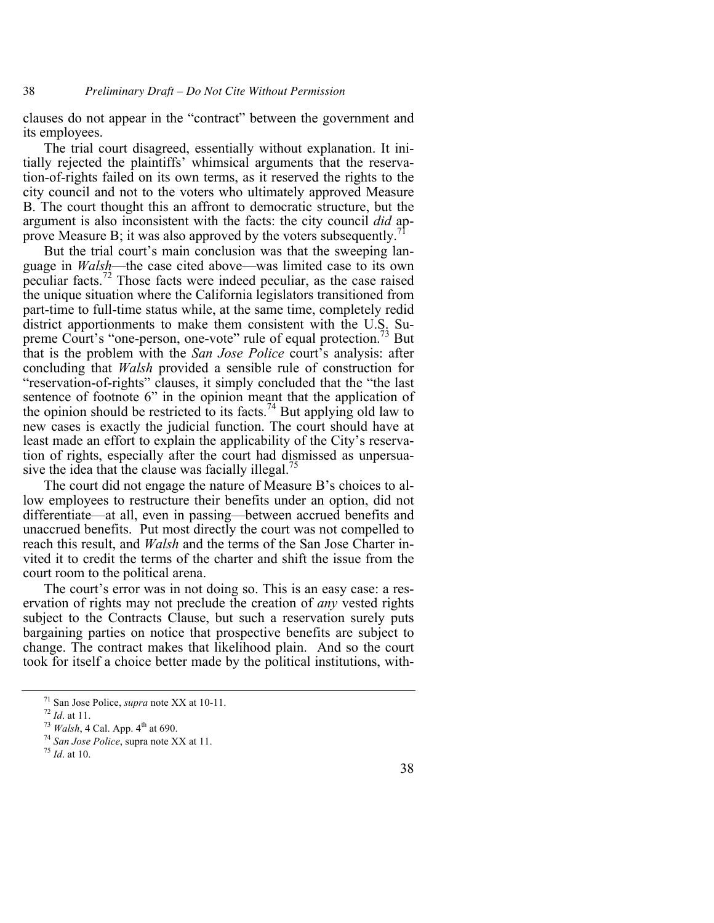clauses do not appear in the "contract" between the government and its employees.

The trial court disagreed, essentially without explanation. It initially rejected the plaintiffs' whimsical arguments that the reservation-of-rights failed on its own terms, as it reserved the rights to the city council and not to the voters who ultimately approved Measure B. The court thought this an affront to democratic structure, but the argument is also inconsistent with the facts: the city council *did* approve Measure B; it was also approved by the voters subsequently.

But the trial court's main conclusion was that the sweeping language in *Walsh*—the case cited above—was limited case to its own peculiar facts.<sup>72</sup> Those facts were indeed peculiar, as the case raised the unique situation where the California legislators transitioned from part-time to full-time status while, at the same time, completely redid district apportionments to make them consistent with the U.S. Supreme Court's "one-person, one-vote" rule of equal protection.<sup>73</sup> But that is the problem with the *San Jose Police* court's analysis: after concluding that *Walsh* provided a sensible rule of construction for "reservation-of-rights" clauses, it simply concluded that the "the last sentence of footnote 6" in the opinion meant that the application of the opinion should be restricted to its facts.<sup>74</sup> But applying old law to new cases is exactly the judicial function. The court should have at least made an effort to explain the applicability of the City's reservation of rights, especially after the court had dismissed as unpersuasive the idea that the clause was facially illegal.<sup>75</sup>

The court did not engage the nature of Measure B's choices to allow employees to restructure their benefits under an option, did not differentiate—at all, even in passing—between accrued benefits and unaccrued benefits. Put most directly the court was not compelled to reach this result, and *Walsh* and the terms of the San Jose Charter invited it to credit the terms of the charter and shift the issue from the court room to the political arena.

The court's error was in not doing so. This is an easy case: a reservation of rights may not preclude the creation of *any* vested rights subject to the Contracts Clause, but such a reservation surely puts bargaining parties on notice that prospective benefits are subject to change. The contract makes that likelihood plain. And so the court took for itself a choice better made by the political institutions, with-

<sup>&</sup>lt;sup>71</sup> San Jose Police, *supra* note XX at 10-11.<br><sup>72</sup> *Id.* at 11.

<sup>72</sup> *Id*. at 11. 73 *Walsh*, 4 Cal. App. 4th at 690. 74 *San Jose Police*, supra note XX at 11. 75 *Id*. at 10.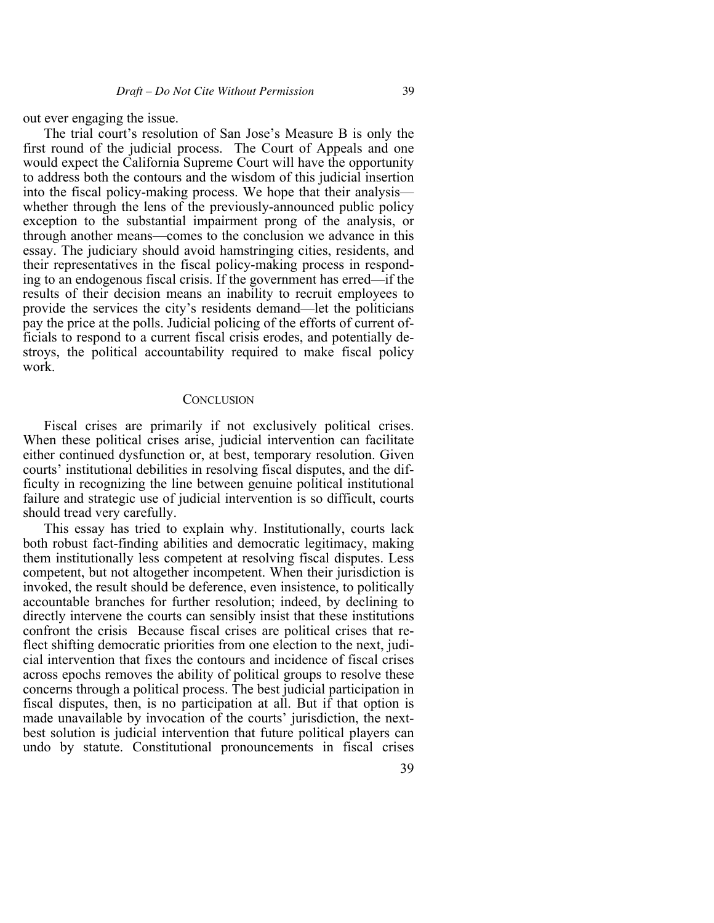out ever engaging the issue.

The trial court's resolution of San Jose's Measure B is only the first round of the judicial process. The Court of Appeals and one would expect the California Supreme Court will have the opportunity to address both the contours and the wisdom of this judicial insertion into the fiscal policy-making process. We hope that their analysis whether through the lens of the previously-announced public policy exception to the substantial impairment prong of the analysis, or through another means—comes to the conclusion we advance in this essay. The judiciary should avoid hamstringing cities, residents, and their representatives in the fiscal policy-making process in responding to an endogenous fiscal crisis. If the government has erred—if the results of their decision means an inability to recruit employees to provide the services the city's residents demand—let the politicians pay the price at the polls. Judicial policing of the efforts of current officials to respond to a current fiscal crisis erodes, and potentially destroys, the political accountability required to make fiscal policy work.

#### **CONCLUSION**

Fiscal crises are primarily if not exclusively political crises. When these political crises arise, judicial intervention can facilitate either continued dysfunction or, at best, temporary resolution. Given courts' institutional debilities in resolving fiscal disputes, and the difficulty in recognizing the line between genuine political institutional failure and strategic use of judicial intervention is so difficult, courts should tread very carefully.

This essay has tried to explain why. Institutionally, courts lack both robust fact-finding abilities and democratic legitimacy, making them institutionally less competent at resolving fiscal disputes. Less competent, but not altogether incompetent. When their jurisdiction is invoked, the result should be deference, even insistence, to politically accountable branches for further resolution; indeed, by declining to directly intervene the courts can sensibly insist that these institutions confront the crisis Because fiscal crises are political crises that reflect shifting democratic priorities from one election to the next, judicial intervention that fixes the contours and incidence of fiscal crises across epochs removes the ability of political groups to resolve these concerns through a political process. The best judicial participation in fiscal disputes, then, is no participation at all. But if that option is made unavailable by invocation of the courts' jurisdiction, the nextbest solution is judicial intervention that future political players can undo by statute. Constitutional pronouncements in fiscal crises